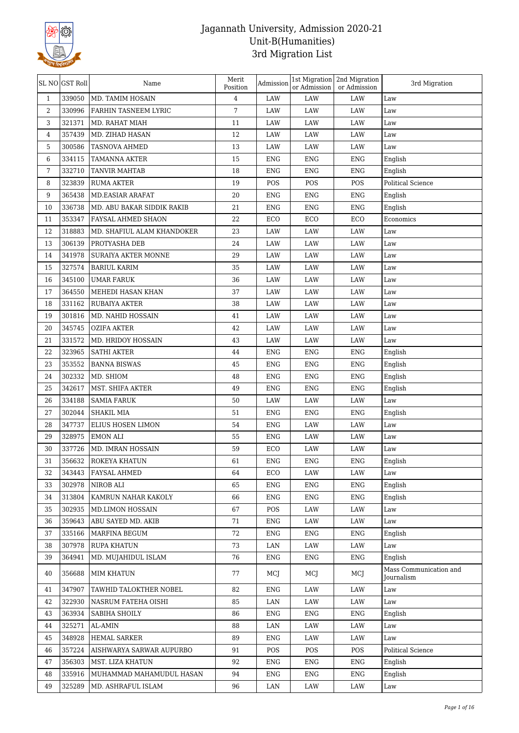

|              | SL NO GST Roll | Name                       | Merit<br>Position | Admission  | or Admission | 1st Migration 2nd Migration<br>or Admission | 3rd Migration                        |
|--------------|----------------|----------------------------|-------------------|------------|--------------|---------------------------------------------|--------------------------------------|
| $\mathbf{1}$ | 339050         | MD. TAMIM HOSAIN           | 4                 | LAW        | LAW          | LAW                                         | Law                                  |
| 2            | 330996         | FARHIN TASNEEM LYRIC       | 7                 | LAW        | LAW          | LAW                                         | Law                                  |
| 3            | 321371         | MD. RAHAT MIAH             | 11                | LAW        | LAW          | LAW                                         | Law                                  |
| 4            | 357439         | MD. ZIHAD HASAN            | 12                | LAW        | LAW          | LAW                                         | Law                                  |
| 5            | 300586         | TASNOVA AHMED              | 13                | LAW        | LAW          | LAW                                         | Law                                  |
| 6            | 334115         | <b>TAMANNA AKTER</b>       | 15                | ENG        | <b>ENG</b>   | <b>ENG</b>                                  | English                              |
| 7            | 332710         | <b>TANVIR MAHTAB</b>       | 18                | <b>ENG</b> | <b>ENG</b>   | ENG                                         | English                              |
| 8            | 323839         | <b>RUMA AKTER</b>          | 19                | POS        | POS          | POS                                         | Political Science                    |
| 9            | 365438         | MD.EASIAR ARAFAT           | 20                | <b>ENG</b> | ENG          | <b>ENG</b>                                  | English                              |
| 10           | 336738         | MD. ABU BAKAR SIDDIK RAKIB | 21                | <b>ENG</b> | <b>ENG</b>   | <b>ENG</b>                                  | English                              |
| 11           | 353347         | FAYSAL AHMED SHAON         | 22                | ECO        | ECO          | ECO                                         | Economics                            |
| 12           | 318883         | MD. SHAFIUL ALAM KHANDOKER | 23                | LAW        | LAW          | LAW                                         | Law                                  |
| 13           | 306139         | PROTYASHA DEB              | 24                | LAW        | LAW          | LAW                                         | Law                                  |
| 14           | 341978         | SURAIYA AKTER MONNE        | 29                | LAW        | LAW          | LAW                                         | Law                                  |
| 15           | 327574         | <b>BARIUL KARIM</b>        | 35                | LAW        | LAW          | LAW                                         | Law                                  |
| 16           | 345100         | <b>UMAR FARUK</b>          | 36                | LAW        | LAW          | LAW                                         | Law                                  |
| 17           | 364550         | MEHEDI HASAN KHAN          | 37                | LAW        | LAW          | LAW                                         | Law                                  |
| 18           | 331162         | RUBAIYA AKTER              | 38                | LAW        | LAW          | LAW                                         | Law                                  |
| 19           | 301816         | MD. NAHID HOSSAIN          | 41                | LAW        | LAW          | LAW                                         | Law                                  |
| 20           | 345745         | <b>OZIFA AKTER</b>         | 42                | LAW        | LAW          | LAW                                         | Law                                  |
| 21           | 331572         | MD. HRIDOY HOSSAIN         | 43                | LAW        | LAW          | LAW                                         | Law                                  |
| 22           | 323965         | <b>SATHI AKTER</b>         | 44                | ENG        | ENG          | <b>ENG</b>                                  | English                              |
| 23           | 353552         | <b>BANNA BISWAS</b>        | 45                | ENG        | ENG          | <b>ENG</b>                                  | English                              |
| 24           | 302332         | MD. SHIOM                  | 48                | ENG        | ENG          | <b>ENG</b>                                  | English                              |
| 25           | 342617         | MST. SHIFA AKTER           | 49                | <b>ENG</b> | ENG          | <b>ENG</b>                                  | English                              |
| 26           | 334188         | <b>SAMIA FARUK</b>         | 50                | LAW        | LAW          | LAW                                         | Law                                  |
| 27           | 302044         | SHAKIL MIA                 | 51                | ENG        | ENG          | ENG                                         | English                              |
| 28           | 347737         | ELIUS HOSEN LIMON          | 54                | ENG        | LAW          | LAW                                         | Law                                  |
| 29           | 328975         | <b>EMON ALI</b>            | 55                | <b>ENG</b> | LAW          | LAW                                         | Law                                  |
| 30           | 337726         | MD. IMRAN HOSSAIN          | 59                | ECO        | LAW          | LAW                                         | Law                                  |
| 31           | 356632         | ROKEYA KHATUN              | 61                | ENG        | ENG          | ENG                                         | English                              |
| 32           | 343443         | FAYSAL AHMED               | 64                | ECO        | LAW          | LAW                                         | Law                                  |
| 33           | 302978         | NIROB ALI                  | 65                | <b>ENG</b> | ENG          | <b>ENG</b>                                  | English                              |
| 34           | 313804         | KAMRUN NAHAR KAKOLY        | 66                | ENG        | ENG          | <b>ENG</b>                                  | English                              |
| 35           | 302935         | MD.LIMON HOSSAIN           | 67                | POS        | LAW          | LAW                                         | Law                                  |
| 36           | 359643         | ABU SAYED MD. AKIB         | 71                | <b>ENG</b> | LAW          | LAW                                         | Law                                  |
| 37           | 335166         | <b>MARFINA BEGUM</b>       | 72                | <b>ENG</b> | ENG          | <b>ENG</b>                                  | English                              |
| 38           | 307978         | <b>RUPA KHATUN</b>         | 73                | LAN        | LAW          | LAW                                         | Law                                  |
| 39           | 364941         | MD. MUJAHIDUL ISLAM        | 76                | ENG        | ENG          | <b>ENG</b>                                  | English                              |
| 40           | 356688         | <b>MIM KHATUN</b>          | 77                | MCJ        | MCJ          | MCJ                                         | Mass Communication and<br>Journalism |
| 41           | 347907         | TAWHID TALOKTHER NOBEL     | 82                | <b>ENG</b> | LAW          | LAW                                         | Law                                  |
| 42           | 322930         | NASRUM FATEHA OISHI        | 85                | LAN        | LAW          | LAW                                         | Law                                  |
| 43           | 363934         | SABIHA SHOILY              | 86                | ENG        | ENG          | <b>ENG</b>                                  | English                              |
| 44           | 325271         | AL-AMIN                    | 88                | LAN        | LAW          | LAW                                         | Law                                  |
| 45           | 348928         | <b>HEMAL SARKER</b>        | 89                | <b>ENG</b> | LAW          | LAW                                         | Law                                  |
| 46           | 357224         | AISHWARYA SARWAR AUPURBO   | 91                | POS        | POS          | POS                                         | Political Science                    |
| 47           | 356303         | MST. LIZA KHATUN           | 92                | ENG        | ENG          | <b>ENG</b>                                  | English                              |
| 48           | 335916         | MUHAMMAD MAHAMUDUL HASAN   | 94                | <b>ENG</b> | ENG          | <b>ENG</b>                                  | English                              |
| 49           | 325289         | MD. ASHRAFUL ISLAM         | 96                | LAN        | LAW          | LAW                                         | Law                                  |
|              |                |                            |                   |            |              |                                             |                                      |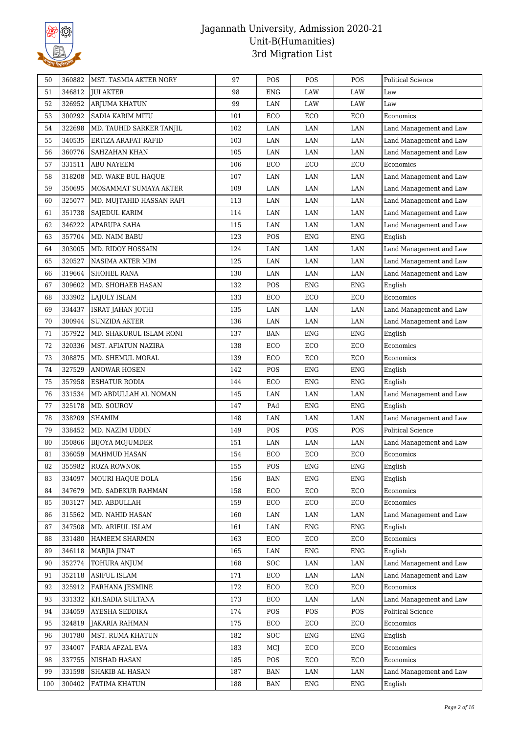

| 50  | 360882 | <b>MST. TASMIA AKTER NORY</b> | 97  | POS        | POS        | POS        | <b>Political Science</b> |
|-----|--------|-------------------------------|-----|------------|------------|------------|--------------------------|
| 51  | 346812 | <b>JUI AKTER</b>              | 98  | <b>ENG</b> | LAW        | LAW        | Law                      |
| 52  | 326952 | ARJUMA KHATUN                 | 99  | LAN        | LAW        | LAW        | Law                      |
| 53  | 300292 | <b>SADIA KARIM MITU</b>       | 101 | ECO        | ECO        | ECO        | Economics                |
| 54  | 322698 | MD. TAUHID SARKER TANJIL      | 102 | LAN        | LAN        | LAN        | Land Management and Law  |
| 55  | 340535 | ERTIZA ARAFAT RAFID           | 103 | LAN        | LAN        | LAN        | Land Management and Law  |
| 56  | 360776 | SAHZAHAN KHAN                 | 105 | LAN        | LAN        | LAN        | Land Management and Law  |
| 57  | 331511 | <b>ABU NAYEEM</b>             | 106 | ECO        | ECO        | ECO        | Economics                |
| 58  | 318208 | MD. WAKE BUL HAQUE            | 107 | LAN        | LAN        | LAN        | Land Management and Law  |
| 59  | 350695 | MOSAMMAT SUMAYA AKTER         | 109 | LAN        | LAN        | LAN        | Land Management and Law  |
| 60  | 325077 | MD. MUJTAHID HASSAN RAFI      | 113 | LAN        | LAN        | LAN        | Land Management and Law  |
| 61  | 351738 | <b>SAJEDUL KARIM</b>          | 114 | LAN        | LAN        | LAN        | Land Management and Law  |
| 62  | 346222 | APARUPA SAHA                  | 115 | LAN        | LAN        | LAN        | Land Management and Law  |
| 63  | 357704 | MD. NAIM BABU                 | 123 | POS        | <b>ENG</b> | <b>ENG</b> | English                  |
| 64  | 303005 | MD. RIDOY HOSSAIN             | 124 | LAN        | LAN        | LAN        | Land Management and Law  |
| 65  | 320527 | NASIMA AKTER MIM              | 125 | LAN        | LAN        | LAN        | Land Management and Law  |
| 66  | 319664 | SHOHEL RANA                   | 130 | LAN        | LAN        | LAN        | Land Management and Law  |
| 67  | 309602 | MD. SHOHAEB HASAN             | 132 | POS        | <b>ENG</b> | <b>ENG</b> | English                  |
| 68  | 333902 | LAJULY ISLAM                  | 133 | ECO        | ECO        | ECO        | Economics                |
| 69  | 334437 | ISRAT JAHAN JOTHI             | 135 | LAN        | LAN        | LAN        | Land Management and Law  |
| 70  | 300944 | <b>SUNZIDA AKTER</b>          | 136 | LAN        | LAN        | LAN        | Land Management and Law  |
| 71  | 357922 | MD. SHAKURUL ISLAM RONI       | 137 | <b>BAN</b> | <b>ENG</b> | <b>ENG</b> | English                  |
| 72  | 320336 | MST. AFIATUN NAZIRA           | 138 | ECO        | ECO        | ECO        | Economics                |
| 73  | 308875 | MD. SHEMUL MORAL              | 139 | ECO        | ECO        | ECO        | Economics                |
| 74  | 327529 | <b>ANOWAR HOSEN</b>           | 142 | POS        | <b>ENG</b> | <b>ENG</b> | English                  |
| 75  | 357958 | <b>ESHATUR RODIA</b>          | 144 | ECO        | <b>ENG</b> | <b>ENG</b> | English                  |
| 76  | 331534 | MD ABDULLAH AL NOMAN          | 145 | LAN        | LAN        | LAN        | Land Management and Law  |
| 77  | 325178 | MD. SOUROV                    | 147 | PAd        | <b>ENG</b> | <b>ENG</b> | English                  |
| 78  | 338209 | <b>SHAMIM</b>                 | 148 | LAN        | LAN        | LAN        | Land Management and Law  |
| 79  | 338452 | MD. NAZIM UDDIN               | 149 | POS        | POS        | POS        | <b>Political Science</b> |
| 80  | 350866 | BIJOYA MOJUMDER               | 151 | LAN        | LAN        | LAN        | Land Management and Law  |
| 81  | 336059 | MAHMUD HASAN                  | 154 | ECO        | ECO        | ECO        | Economics                |
| 82  | 355982 | <b>ROZA ROWNOK</b>            | 155 | POS        | ENG        | <b>ENG</b> | English                  |
| 83  | 334097 | MOURI HAQUE DOLA              | 156 | <b>BAN</b> | <b>ENG</b> | <b>ENG</b> | English                  |
| 84  | 347679 | MD. SADEKUR RAHMAN            | 158 | ECO        | ECO        | ECO        | Economics                |
| 85  | 303127 | MD. ABDULLAH                  | 159 | ECO        | ECO        | ECO        | Economics                |
| 86  | 315562 | MD. NAHID HASAN               | 160 | LAN        | LAN        | LAN        | Land Management and Law  |
| 87  | 347508 | MD. ARIFUL ISLAM              | 161 | LAN        | ENG        | <b>ENG</b> | English                  |
| 88  | 331480 | HAMEEM SHARMIN                | 163 | ECO        | ECO        | ECO        | Economics                |
| 89  | 346118 | MARJIA JINAT                  | 165 | LAN        | ENG        | <b>ENG</b> | English                  |
| 90  | 352774 | TOHURA ANJUM                  | 168 | <b>SOC</b> | LAN        | LAN        | Land Management and Law  |
| 91  | 352118 | <b>ASIFUL ISLAM</b>           | 171 | ECO        | LAN        | LAN        | Land Management and Law  |
| 92  | 325912 | FARHANA JESMINE               | 172 | ECO        | ECO        | ECO        | Economics                |
| 93  | 331332 | KH.SADIA SULTANA              | 173 | ECO        | LAN        | LAN        | Land Management and Law  |
| 94  | 334059 | AYESHA SEDDIKA                | 174 | POS        | POS        | POS        | Political Science        |
| 95  | 324819 | <b>JAKARIA RAHMAN</b>         | 175 | ECO        | ECO        | ECO        | Economics                |
| 96  | 301780 | MST. RUMA KHATUN              | 182 | <b>SOC</b> | ENG        | <b>ENG</b> | English                  |
| 97  | 334007 | FARIA AFZAL EVA               | 183 | MCJ        | ECO        | ECO        | Economics                |
| 98  | 337755 | NISHAD HASAN                  | 185 | POS        | ECO        | ECO        | Economics                |
| 99  | 331598 | SHAKIB AL HASAN               | 187 | <b>BAN</b> | LAN        | LAN        | Land Management and Law  |
|     | 300402 | FATIMA KHATUN                 |     |            |            | <b>ENG</b> |                          |
| 100 |        |                               | 188 | BAN        | ENG        |            | English                  |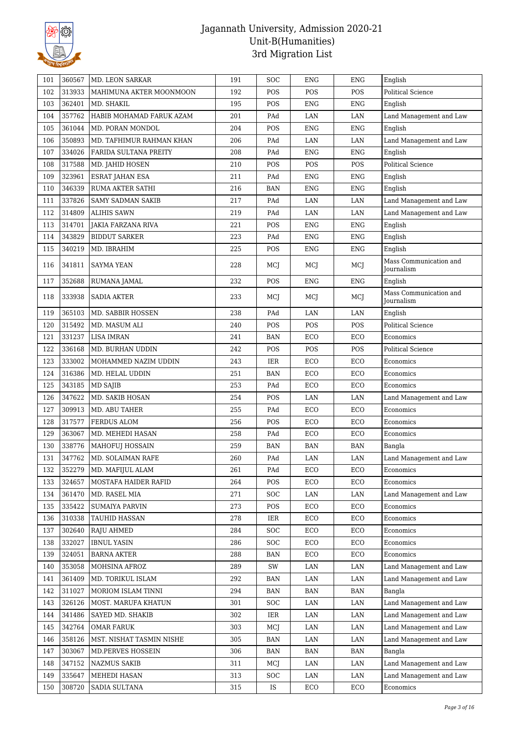

| 101 | 360567 | <b>MD. LEON SARKAR</b>    | 191 | SOC                     | <b>ENG</b>  | <b>ENG</b> | English                              |
|-----|--------|---------------------------|-----|-------------------------|-------------|------------|--------------------------------------|
| 102 | 313933 | MAHIMUNA AKTER MOONMOON   | 192 | POS                     | POS         | POS        | Political Science                    |
| 103 | 362401 | MD. SHAKIL                | 195 | POS                     | <b>ENG</b>  | <b>ENG</b> | English                              |
| 104 | 357762 | HABIB MOHAMAD FARUK AZAM  | 201 | PAd                     | LAN         | LAN        | Land Management and Law              |
| 105 | 361044 | MD. PORAN MONDOL          | 204 | POS                     | <b>ENG</b>  | <b>ENG</b> | English                              |
| 106 | 350893 | MD. TAFHIMUR RAHMAN KHAN  | 206 | PAd                     | LAN         | LAN        | Land Management and Law              |
| 107 | 334026 | FARIDA SULTANA PREITY     | 208 | PAd                     | <b>ENG</b>  | <b>ENG</b> | English                              |
| 108 | 317588 | MD. JAHID HOSEN           | 210 | POS                     | POS         | POS        | <b>Political Science</b>             |
| 109 | 323961 | ESRAT JAHAN ESA           | 211 | PAd                     | ENG         | <b>ENG</b> | English                              |
| 110 | 346339 | RUMA AKTER SATHI          | 216 | BAN                     | <b>ENG</b>  | <b>ENG</b> | English                              |
| 111 | 337826 | <b>SAMY SADMAN SAKIB</b>  | 217 | PAd                     | LAN         | LAN        | Land Management and Law              |
| 112 | 314809 | <b>ALIHIS SAWN</b>        | 219 | $\mathop{\mathrm{PAd}}$ | LAN         | LAN        | Land Management and Law              |
| 113 | 314701 | <b>JAKIA FARZANA RIVA</b> | 221 | POS                     | <b>ENG</b>  | <b>ENG</b> | English                              |
| 114 | 343829 | <b>BIDDUT SARKER</b>      | 223 | PAd                     | ${\rm ENG}$ | <b>ENG</b> | English                              |
| 115 | 340219 | MD. IBRAHIM               | 225 | POS                     | <b>ENG</b>  | <b>ENG</b> | English                              |
| 116 | 341811 | <b>SAYMA YEAN</b>         | 228 | MCI                     | MCI         | MCJ        | Mass Communication and<br>Journalism |
| 117 | 352688 | RUMANA JAMAL              | 232 | POS                     | <b>ENG</b>  | <b>ENG</b> | English                              |
| 118 | 333938 | <b>SADIA AKTER</b>        | 233 | MCJ                     | MCJ         | MCJ        | Mass Communication and<br>Journalism |
| 119 | 365103 | MD. SABBIR HOSSEN         | 238 | PAd                     | LAN         | LAN        | English                              |
| 120 | 315492 | MD. MASUM ALI             | 240 | POS                     | POS         | POS        | <b>Political Science</b>             |
| 121 | 331237 | <b>LISA IMRAN</b>         | 241 | <b>BAN</b>              | ECO         | ECO        | Economics                            |
| 122 | 336168 | MD. BURHAN UDDIN          | 242 | POS                     | POS         | POS        | <b>Political Science</b>             |
| 123 | 333002 | MOHAMMED NAZIM UDDIN      | 243 | IER                     | ECO         | ECO        | Economics                            |
| 124 | 316386 | MD. HELAL UDDIN           | 251 | <b>BAN</b>              | ECO         | ECO        | Economics                            |
| 125 | 343185 | MD SAJIB                  | 253 | PAd                     | ECO         | ECO        | Economics                            |
| 126 | 347622 | MD. SAKIB HOSAN           | 254 | POS                     | LAN         | LAN        | Land Management and Law              |
| 127 | 309913 | MD. ABU TAHER             | 255 | PAd                     | ECO         | ECO        | Economics                            |
| 128 | 317577 | <b>FERDUS ALOM</b>        | 256 | POS                     | ECO         | ECO        | Economics                            |
| 129 | 363067 | MD. MEHEDI HASAN          | 258 | PAd                     | ECO         | ECO        | Economics                            |
| 130 | 338776 | MAHOFUJ HOSSAIN           | 259 | <b>BAN</b>              | <b>BAN</b>  | <b>BAN</b> | Bangla                               |
| 131 | 347762 | MD. SOLAIMAN RAFE         | 260 | PAd                     | LAN         | LAN        | Land Management and Law              |
| 132 | 352279 | MD. MAFIJUL ALAM          | 261 | PAd                     | ECO         | ECO        | Economics                            |
| 133 | 324657 | MOSTAFA HAIDER RAFID      | 264 | POS                     | ECO         | ECO        | Economics                            |
| 134 | 361470 | MD. RASEL MIA             | 271 | SOC                     | LAN         | LAN        | Land Management and Law              |
| 135 | 335422 | <b>SUMAIYA PARVIN</b>     | 273 | POS                     | ECO         | ECO        | Economics                            |
| 136 | 310338 | TAUHID HASSAN             | 278 | IER                     | ECO         | ECO        | Economics                            |
| 137 | 302640 | <b>RAJU AHMED</b>         | 284 | SOC                     | ECO         | ECO        | Economics                            |
| 138 | 332027 | <b>IBNUL YASIN</b>        | 286 | SOC                     | ECO         | ECO        | Economics                            |
| 139 | 324051 | <b>BARNA AKTER</b>        | 288 | BAN                     | ECO         | ECO        | Economics                            |
| 140 | 353058 | MOHSINA AFROZ             | 289 | SW                      | LAN         | LAN        | Land Management and Law              |
| 141 | 361409 | MD. TORIKUL ISLAM         | 292 | BAN                     | LAN         | LAN        | Land Management and Law              |
| 142 | 311027 | MORIOM ISLAM TINNI        | 294 | <b>BAN</b>              | <b>BAN</b>  | <b>BAN</b> | Bangla                               |
| 143 | 326126 | MOST. MARUFA KHATUN       | 301 | SOC                     | LAN         | LAN        | Land Management and Law              |
| 144 | 341486 | SAYED MD. SHAKIB          | 302 | IER                     | LAN         | LAN        | Land Management and Law              |
| 145 | 342764 | <b>OMAR FARUK</b>         | 303 | MCJ                     | LAN         | LAN        | Land Management and Law              |
| 146 | 358126 | MST. NISHAT TASMIN NISHE  | 305 | BAN                     | LAN         | $\rm LAN$  | Land Management and Law              |
| 147 | 303067 | MD.PERVES HOSSEIN         | 306 | BAN                     | BAN         | BAN        | Bangla                               |
| 148 | 347152 | <b>NAZMUS SAKIB</b>       | 311 | MCJ                     | LAN         | LAN        | Land Management and Law              |
| 149 | 335647 | MEHEDI HASAN              | 313 | SOC                     | LAN         | LAN        | Land Management and Law              |
| 150 | 308720 | SADIA SULTANA             | 315 | IS                      | ECO         | ECO        | Economics                            |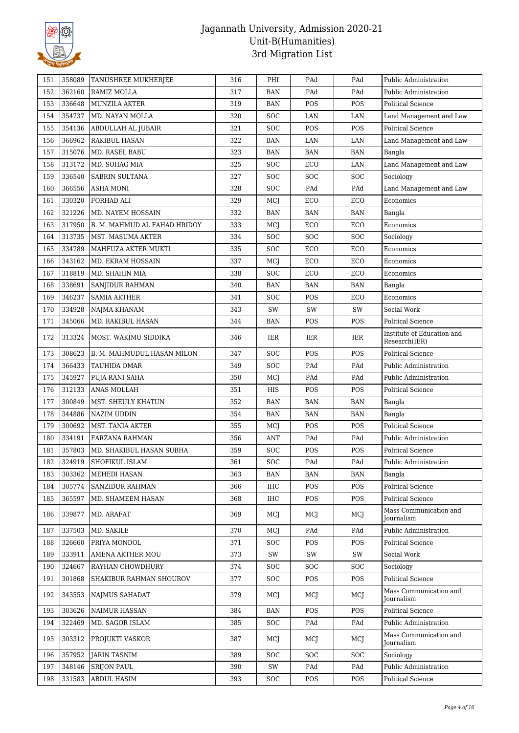

| 151 | 358089 | TANUSHREE MUKHERJEE          | 316 | PHI        | PAd        | PAd        | Public Administration                       |
|-----|--------|------------------------------|-----|------------|------------|------------|---------------------------------------------|
| 152 | 362160 | RAMIZ MOLLA                  | 317 | BAN        | PAd        | PAd        | Public Administration                       |
| 153 | 336648 | <b>MUNZILA AKTER</b>         | 319 | BAN        | POS        | POS        | Political Science                           |
| 154 | 354737 | MD. NAYAN MOLLA              | 320 | <b>SOC</b> | LAN        | LAN        | Land Management and Law                     |
| 155 | 354136 | ABDULLAH AL JUBAIR           | 321 | <b>SOC</b> | POS        | POS        | <b>Political Science</b>                    |
| 156 | 366962 | <b>RAKIBUL HASAN</b>         | 322 | <b>BAN</b> | LAN        | LAN        | Land Management and Law                     |
| 157 | 315076 | MD. RASEL BABU               | 323 | BAN        | <b>BAN</b> | <b>BAN</b> | Bangla                                      |
| 158 | 313172 | MD. SOHAG MIA                | 325 | <b>SOC</b> | ECO        | LAN        | Land Management and Law                     |
| 159 | 336540 | <b>SABRIN SULTANA</b>        | 327 | <b>SOC</b> | <b>SOC</b> | SOC        | Sociology                                   |
| 160 | 366556 | <b>ASHA MONI</b>             | 328 | <b>SOC</b> | PAd        | PAd        | Land Management and Law                     |
| 161 | 330320 | FORHAD ALI                   | 329 | MCJ        | ECO        | ECO        | Economics                                   |
| 162 | 321226 | MD. NAYEM HOSSAIN            | 332 | <b>BAN</b> | <b>BAN</b> | <b>BAN</b> | Bangla                                      |
| 163 | 317950 | B. M. MAHMUD AL FAHAD HRIDOY | 333 | MCJ        | ECO        | ECO        | Economics                                   |
| 164 | 313735 | MST. MASUMA AKTER            | 334 | <b>SOC</b> | <b>SOC</b> | <b>SOC</b> | Sociology                                   |
| 165 | 334789 | MAHFUZA AKTER MUKTI          | 335 | <b>SOC</b> | ECO        | ECO        | Economics                                   |
| 166 | 343162 | MD. EKRAM HOSSAIN            | 337 | MCJ        | ECO        | ECO        | Economics                                   |
| 167 | 318819 | MD. SHAHIN MIA               | 338 | <b>SOC</b> | ECO        | ECO        | Economics                                   |
| 168 | 338691 | SANJIDUR RAHMAN              | 340 | BAN        | <b>BAN</b> | <b>BAN</b> | Bangla                                      |
| 169 | 346237 | <b>SAMIA AKTHER</b>          | 341 | <b>SOC</b> | POS        | ECO        | Economics                                   |
| 170 | 334928 | NAJMA KHANAM                 | 343 | SW         | SW         | SW         | Social Work                                 |
| 171 | 345066 | MD. RAKIBUL HASAN            | 344 | BAN        | POS        | POS        | <b>Political Science</b>                    |
| 172 | 313324 | MOST. WAKIMU SIDDIKA         | 346 | IER        | IER        | IER        | Institute of Education and<br>Research(IER) |
| 173 | 308623 | B. M. MAHMUDUL HASAN MILON   | 347 | <b>SOC</b> | POS        | POS        | <b>Political Science</b>                    |
| 174 | 366433 | TAUHIDA OMAR                 | 349 | <b>SOC</b> | PAd        | PAd        | Public Administration                       |
| 175 | 345927 | PUJA RANI SAHA               | 350 | MCJ        | PAd        | PAd        | Public Administration                       |
| 176 | 312133 | <b>ANAS MOLLAH</b>           | 351 | HIS        | POS        | POS        | Political Science                           |
| 177 | 300849 | MST. SHEULY KHATUN           | 352 | <b>BAN</b> | <b>BAN</b> | <b>BAN</b> | Bangla                                      |
| 178 | 344886 | <b>NAZIM UDDIN</b>           | 354 | <b>BAN</b> | <b>BAN</b> | <b>BAN</b> | Bangla                                      |
| 179 | 300692 | MST. TANIA AKTER             | 355 | MCJ        | POS        | POS        | <b>Political Science</b>                    |
| 180 | 334191 | <b>FARZANA RAHMAN</b>        | 356 | ANT        | PAd        | PAd        | Public Administration                       |
| 181 | 357803 | MD. SHAKIBUL HASAN SUBHA     | 359 | <b>SOC</b> | POS        | POS        | <b>Political Science</b>                    |
| 182 | 324919 | SHOFIKUL ISLAM               | 361 | SOC        | PAd        | PAd        | Public Administration                       |
| 183 | 303362 | MEHEDI HASAN                 | 363 | BAN        | BAN        | <b>BAN</b> | Bangla                                      |
| 184 | 305774 | SANZIDUR RAHMAN              | 366 | IHC        | POS        | POS        | Political Science                           |
| 185 | 365597 | MD. SHAMEEM HASAN            | 368 | <b>IHC</b> | <b>POS</b> | POS        | <b>Political Science</b>                    |
| 186 | 339877 | MD. ARAFAT                   | 369 | MCJ        | MCJ        | MCJ        | Mass Communication and<br><b>Journalism</b> |
| 187 | 337503 | MD. SAKILE                   | 370 | MCI        | PAd        | PAd        | Public Administration                       |
| 188 | 326660 | PRIYA MONDOL                 | 371 | SOC        | POS        | POS        | Political Science                           |
| 189 | 333911 | AMENA AKTHER MOU             | 373 | SW         | SW         | SW         | Social Work                                 |
| 190 | 324667 | RAYHAN CHOWDHURY             | 374 | SOC        | <b>SOC</b> | SOC        | Sociology                                   |
| 191 | 301868 | SHAKIBUR RAHMAN SHOUROV      | 377 | <b>SOC</b> | POS        | POS        | <b>Political Science</b>                    |
| 192 | 343553 | NAJMUS SAHADAT               | 379 | MCJ        | MCJ        | MCJ        | Mass Communication and<br>Journalism        |
| 193 | 303626 | <b>NAIMUR HASSAN</b>         | 384 | BAN        | <b>POS</b> | POS        | Political Science                           |
| 194 | 322469 | MD. SAGOR ISLAM              | 385 | <b>SOC</b> | PAd        | PAd        | Public Administration                       |
| 195 | 303312 | PROJUKTI VASKOR              | 387 | MCJ        | MCJ        | MCJ        | Mass Communication and<br>Journalism        |
| 196 | 357952 | <b>JARIN TASNIM</b>          | 389 | <b>SOC</b> | <b>SOC</b> | <b>SOC</b> | Sociology                                   |
| 197 | 348146 | <b>SRIJON PAUL</b>           | 390 | SW         | PAd        | PAd        | Public Administration                       |
| 198 | 331583 | ABDUL HASIM                  | 393 | SOC        | POS        | POS        | Political Science                           |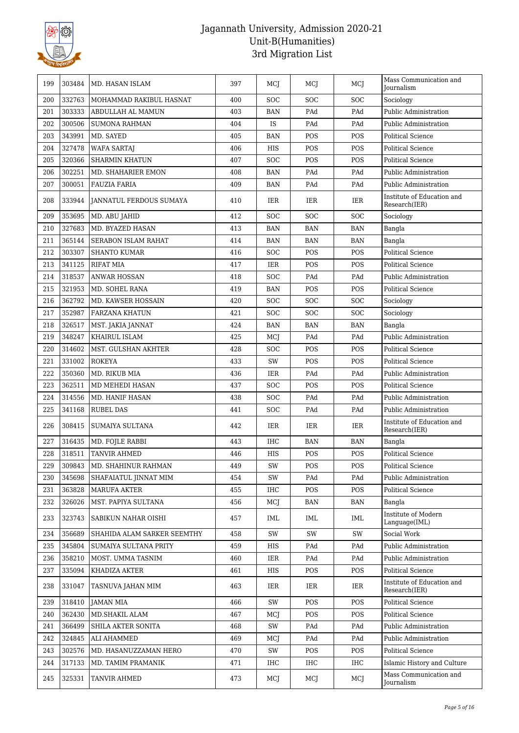

| 199 | 303484 | MD. HASAN ISLAM                | 397 | MCI           | MCI        | MCJ        | Mass Communication and<br>Journalism        |
|-----|--------|--------------------------------|-----|---------------|------------|------------|---------------------------------------------|
| 200 | 332763 | MOHAMMAD RAKIBUL HASNAT        | 400 | <b>SOC</b>    | SOC        | <b>SOC</b> | Sociology                                   |
| 201 | 303333 | ABDULLAH AL MAMUN              | 403 | <b>BAN</b>    | PAd        | PAd        | Public Administration                       |
| 202 | 300506 | <b>SUMONA RAHMAN</b>           | 404 | IS            | PAd        | PAd        | Public Administration                       |
| 203 | 343991 | MD. SAYED                      | 405 | <b>BAN</b>    | POS        | POS        | <b>Political Science</b>                    |
| 204 | 327478 | <b>WAFA SARTAJ</b>             | 406 | HIS           | POS        | POS        | <b>Political Science</b>                    |
| 205 | 320366 | <b>SHARMIN KHATUN</b>          | 407 | <b>SOC</b>    | POS        | POS        | <b>Political Science</b>                    |
| 206 | 302251 | MD. SHAHARIER EMON             | 408 | <b>BAN</b>    | PAd        | PAd        | Public Administration                       |
| 207 | 300051 | <b>FAUZIA FARIA</b>            | 409 | BAN           | PAd        | PAd        | Public Administration                       |
| 208 | 333944 | <b>JANNATUL FERDOUS SUMAYA</b> | 410 | IER           | IER        | IER        | Institute of Education and<br>Research(IER) |
| 209 | 353695 | MD. ABU JAHID                  | 412 | <b>SOC</b>    | SOC        | <b>SOC</b> | Sociology                                   |
| 210 | 327683 | MD. BYAZED HASAN               | 413 | <b>BAN</b>    | <b>BAN</b> | <b>BAN</b> | Bangla                                      |
| 211 | 365144 | <b>SERABON ISLAM RAHAT</b>     | 414 | <b>BAN</b>    | <b>BAN</b> | <b>BAN</b> | Bangla                                      |
| 212 | 303307 | <b>SHANTO KUMAR</b>            | 416 | <b>SOC</b>    | POS        | <b>POS</b> | Political Science                           |
| 213 | 341125 | <b>RIFAT MIA</b>               | 417 | <b>IER</b>    | POS        | POS        | <b>Political Science</b>                    |
| 214 | 318537 | <b>ANWAR HOSSAN</b>            | 418 | <b>SOC</b>    | PAd        | PAd        | Public Administration                       |
| 215 | 321953 | MD. SOHEL RANA                 | 419 | BAN           | POS        | POS        | <b>Political Science</b>                    |
| 216 | 362792 | MD. KAWSER HOSSAIN             | 420 | <b>SOC</b>    | SOC        | <b>SOC</b> | Sociology                                   |
| 217 | 352987 | <b>FARZANA KHATUN</b>          | 421 | <b>SOC</b>    | <b>SOC</b> | SOC        | Sociology                                   |
| 218 | 326517 | MST. JAKIA JANNAT              | 424 | BAN           | <b>BAN</b> | <b>BAN</b> | Bangla                                      |
| 219 | 348247 | KHAIRUL ISLAM                  | 425 | MCJ           | PAd        | PAd        | Public Administration                       |
| 220 | 314602 | MST. GULSHAN AKHTER            | 428 | <b>SOC</b>    | <b>POS</b> | <b>POS</b> | Political Science                           |
| 221 | 331002 | <b>ROKEYA</b>                  | 433 | SW            | POS        | POS        | <b>Political Science</b>                    |
| 222 | 350360 | MD. RIKUB MIA                  | 436 | IER           | PAd        | PAd        | Public Administration                       |
| 223 | 362511 | MD MEHEDI HASAN                | 437 | <b>SOC</b>    | POS        | POS        | <b>Political Science</b>                    |
| 224 | 314556 | MD. HANIF HASAN                | 438 | <b>SOC</b>    | PAd        | PAd        | Public Administration                       |
| 225 | 341168 | <b>RUBEL DAS</b>               | 441 | <b>SOC</b>    | PAd        | PAd        | Public Administration                       |
| 226 | 308415 | <b>SUMAIYA SULTANA</b>         | 442 | IER           | IER        | IER        | Institute of Education and<br>Research(IER) |
| 227 | 316435 | MD. FOJLE RABBI                | 443 | <b>IHC</b>    | <b>BAN</b> | <b>BAN</b> | Bangla                                      |
| 228 | 318511 | <b>TANVIR AHMED</b>            | 446 | HIS           | POS        | POS        | Political Science                           |
| 229 | 309843 | MD. SHAHINUR RAHMAN            | 449 | $\mathrm{SW}$ | POS        | POS        | Political Science                           |
| 230 | 345698 | SHAFAIATUL JINNAT MIM          | 454 | SW            | PAd        | PAd        | Public Administration                       |
| 231 | 363828 | <b>MARUFA AKTER</b>            | 455 | <b>IHC</b>    | POS        | POS        | <b>Political Science</b>                    |
| 232 | 326026 | MST. PAPIYA SULTANA            | 456 | MCJ           | BAN        | BAN        | Bangla                                      |
| 233 | 323743 | SABIKUN NAHAR OISHI            | 457 | IML           | IML        | IML        | Institute of Modern<br>Language(IML)        |
| 234 | 356689 | SHAHIDA ALAM SARKER SEEMTHY    | 458 | SW            | SW         | SW         | Social Work                                 |
| 235 | 345804 | SUMAIYA SULTANA PRITY          | 459 | HIS           | PAd        | PAd        | Public Administration                       |
| 236 | 358210 | MOST. UMMA TASNIM              | 460 | IER           | PAd        | PAd        | Public Administration                       |
| 237 | 335094 | KHADIZA AKTER                  | 461 | HIS           | POS        | POS        | Political Science                           |
| 238 | 331047 | TASNUVA JAHAN MIM              | 463 | IER           | IER        | IER        | Institute of Education and<br>Research(IER) |
| 239 | 318410 | JAMAN MIA                      | 466 | SW            | POS        | POS        | Political Science                           |
| 240 | 362430 | MD.SHAKIL ALAM                 | 467 | MCJ           | POS        | POS        | Political Science                           |
| 241 | 366499 | SHILA AKTER SONITA             | 468 | SW            | PAd        | PAd        | Public Administration                       |
| 242 | 324845 | ALI AHAMMED                    | 469 | MCJ           | PAd        | PAd        | Public Administration                       |
| 243 | 302576 | MD. HASANUZZAMAN HERO          | 470 | SW            | POS        | POS        | Political Science                           |
| 244 | 317133 | MD. TAMIM PRAMANIK             | 471 | IHC           | IHC        | IHC        | Islamic History and Culture                 |
|     |        |                                |     |               |            |            | Mass Communication and                      |
| 245 | 325331 | TANVIR AHMED                   | 473 | MCJ           | MCJ        | MCJ        | Journalism                                  |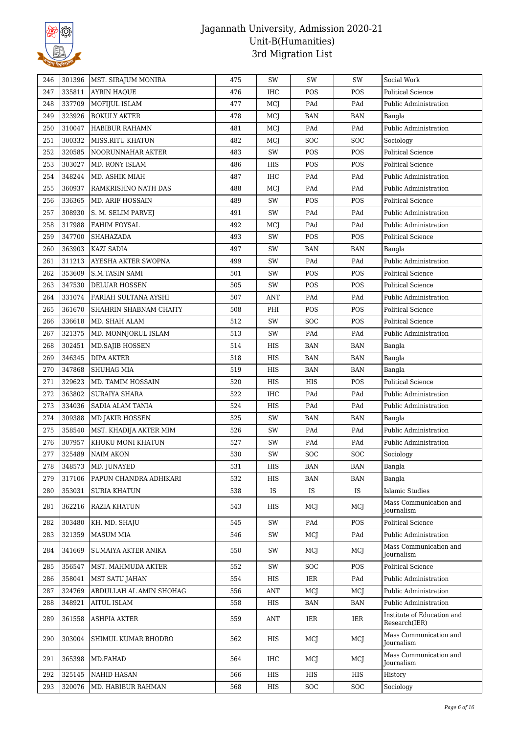

| 246 | 301396 | MST. SIRAJUM MONIRA     | 475 | SW  | SW         | SW         | Social Work                                 |
|-----|--------|-------------------------|-----|-----|------------|------------|---------------------------------------------|
| 247 | 335811 | <b>AYRIN HAQUE</b>      | 476 | IHC | POS        | POS        | <b>Political Science</b>                    |
| 248 | 337709 | MOFIJUL ISLAM           | 477 | MCJ | PAd        | PAd        | Public Administration                       |
| 249 | 323926 | <b>BOKULY AKTER</b>     | 478 | MCJ | <b>BAN</b> | <b>BAN</b> | Bangla                                      |
| 250 | 310047 | HABIBUR RAHAMN          | 481 | MCJ | PAd        | PAd        | Public Administration                       |
| 251 | 300332 | <b>MISS.RITU KHATUN</b> | 482 | MCJ | <b>SOC</b> | SOC        | Sociology                                   |
| 252 | 320585 | NOORUNNAHAR AKTER       | 483 | SW  | POS        | POS        | <b>Political Science</b>                    |
| 253 | 303027 | MD. RONY ISLAM          | 486 | HIS | POS        | POS        | <b>Political Science</b>                    |
| 254 | 348244 | MD. ASHIK MIAH          | 487 | IHC | PAd        | PAd        | Public Administration                       |
| 255 | 360937 | RAMKRISHNO NATH DAS     | 488 | MCJ | PAd        | PAd        | Public Administration                       |
| 256 | 336365 | MD. ARIF HOSSAIN        | 489 | SW  | POS        | POS        | <b>Political Science</b>                    |
| 257 | 308930 | S. M. SELIM PARVEJ      | 491 | SW  | PAd        | PAd        | Public Administration                       |
| 258 | 317988 | <b>FAHIM FOYSAL</b>     | 492 | MCJ | PAd        | PAd        | Public Administration                       |
| 259 | 347700 | SHAHAZADA               | 493 | SW  | POS        | POS        | <b>Political Science</b>                    |
| 260 | 363903 | <b>KAZI SADIA</b>       | 497 | SW  | <b>BAN</b> | <b>BAN</b> | Bangla                                      |
| 261 | 311213 | AYESHA AKTER SWOPNA     | 499 | SW  | PAd        | PAd        | Public Administration                       |
| 262 | 353609 | <b>S.M.TASIN SAMI</b>   | 501 | SW  | POS        | POS        | <b>Political Science</b>                    |
| 263 | 347530 | <b>DELUAR HOSSEN</b>    | 505 | SW  | POS        | POS        | <b>Political Science</b>                    |
| 264 | 331074 | FARIAH SULTANA AYSHI    | 507 | ANT | PAd        | PAd        | Public Administration                       |
| 265 | 361670 | SHAHRIN SHABNAM CHAITY  | 508 | PHI | POS        | POS        | <b>Political Science</b>                    |
| 266 | 336618 | MD. SHAH ALAM           | 512 | SW  | SOC        | POS        | <b>Political Science</b>                    |
| 267 | 321375 | MD. MONNJORUL ISLAM     | 513 | SW  | PAd        | PAd        | Public Administration                       |
| 268 | 302451 | <b>MD.SAJIB HOSSEN</b>  | 514 | HIS | <b>BAN</b> | <b>BAN</b> | Bangla                                      |
| 269 | 346345 | <b>DIPA AKTER</b>       | 518 | HIS | <b>BAN</b> | <b>BAN</b> | Bangla                                      |
| 270 | 347868 | <b>SHUHAG MIA</b>       | 519 | HIS | <b>BAN</b> | <b>BAN</b> | Bangla                                      |
| 271 | 329623 | MD. TAMIM HOSSAIN       | 520 | HIS | HIS        | POS        | <b>Political Science</b>                    |
| 272 | 363802 | <b>SURAIYA SHARA</b>    | 522 | IHC | PAd        | PAd        | Public Administration                       |
| 273 | 334036 | SADIA ALAM TANIA        | 524 | HIS | PAd        | PAd        | Public Administration                       |
| 274 | 309388 | MD JAKIR HOSSEN         | 525 | SW  | BAN        | BAN        | Bangla                                      |
| 275 | 358540 | MST. KHADIJA AKTER MIM  | 526 | SW  | PAd        | PAd        | Public Administration                       |
| 276 | 307957 | KHUKU MONI KHATUN       | 527 | SW  | PAd        | PAd        | Public Administration                       |
| 277 | 325489 | NAIM AKON               | 530 | SW  | SOC        | SOC        | Sociology                                   |
| 278 | 348573 | MD. JUNAYED             | 531 | HIS | <b>BAN</b> | <b>BAN</b> | Bangla                                      |
| 279 | 317106 | PAPUN CHANDRA ADHIKARI  | 532 | HIS | <b>BAN</b> | <b>BAN</b> | Bangla                                      |
| 280 | 353031 | <b>SURIA KHATUN</b>     | 538 | IS. | IS.        | IS         | <b>Islamic Studies</b>                      |
| 281 | 362216 | <b>RAZIA KHATUN</b>     | 543 | HIS | MCI        | MCJ        | Mass Communication and<br>Journalism        |
| 282 | 303480 | KH. MD. SHAJU           | 545 | SW  | PAd        | POS        | <b>Political Science</b>                    |
| 283 | 321359 | <b>MASUM MIA</b>        | 546 | SW  | MCJ        | PAd        | Public Administration                       |
| 284 | 341669 | SUMAIYA AKTER ANIKA     | 550 | SW  | MCJ        | MCJ        | Mass Communication and<br>Journalism        |
| 285 | 356547 | MST. MAHMUDA AKTER      | 552 | SW  | <b>SOC</b> | POS        | <b>Political Science</b>                    |
| 286 | 358041 | <b>MST SATU JAHAN</b>   | 554 | HIS | IER        | PAd        | Public Administration                       |
| 287 | 324769 | ABDULLAH AL AMIN SHOHAG | 556 | ANT | MCJ        | MCJ        | Public Administration                       |
| 288 | 348921 | AITUL ISLAM             | 558 | HIS | <b>BAN</b> | <b>BAN</b> | Public Administration                       |
| 289 | 361558 | <b>ASHPIA AKTER</b>     | 559 | ANT | IER        | IER        | Institute of Education and<br>Research(IER) |
| 290 | 303004 | SHIMUL KUMAR BHODRO     | 562 | HIS | MCJ        | MCI        | Mass Communication and<br>Journalism        |
| 291 | 365398 | MD.FAHAD                | 564 | IHC | MCI        | MCJ        | Mass Communication and<br>Journalism        |
| 292 | 325145 | NAHID HASAN             | 566 | HIS | HIS        | HIS        | History                                     |
| 293 | 320076 | MD. HABIBUR RAHMAN      | 568 | HIS | SOC        | SOC        | Sociology                                   |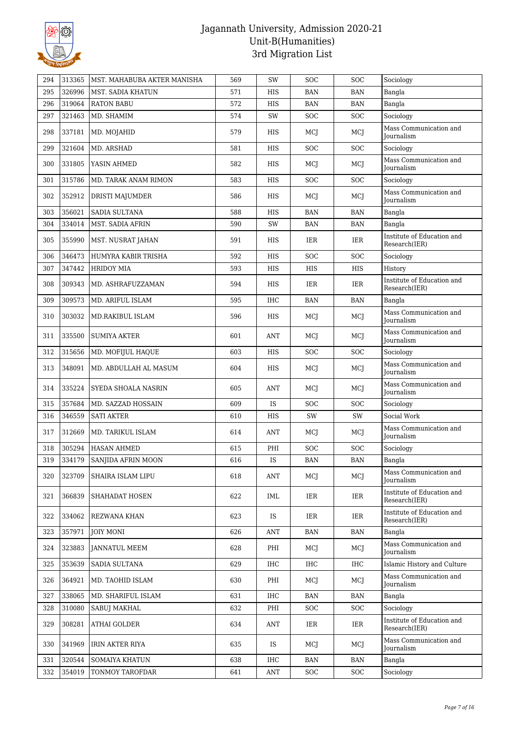

| 294 | 313365 | MST. MAHABUBA AKTER MANISHA | 569 | SW         | <b>SOC</b> | <b>SOC</b> | Sociology                                   |
|-----|--------|-----------------------------|-----|------------|------------|------------|---------------------------------------------|
| 295 | 326996 | MST. SADIA KHATUN           | 571 | <b>HIS</b> | <b>BAN</b> | <b>BAN</b> | Bangla                                      |
| 296 | 319064 | <b>RATON BABU</b>           | 572 | HIS        | <b>BAN</b> | <b>BAN</b> | Bangla                                      |
| 297 | 321463 | MD. SHAMIM                  | 574 | SW         | SOC        | SOC        | Sociology                                   |
| 298 | 337181 | MD. MOJAHID                 | 579 | HIS        | MCJ        | MCJ        | Mass Communication and<br>Journalism        |
| 299 | 321604 | MD. ARSHAD                  | 581 | <b>HIS</b> | <b>SOC</b> | SOC        | Sociology                                   |
| 300 | 331805 | YASIN AHMED                 | 582 | HIS        | MCJ        | MCJ        | Mass Communication and<br><b>Journalism</b> |
| 301 | 315786 | MD. TARAK ANAM RIMON        | 583 | <b>HIS</b> | <b>SOC</b> | SOC        | Sociology                                   |
| 302 | 352912 | <b>DRISTI MAJUMDER</b>      | 586 | <b>HIS</b> | MCI        | MCJ        | Mass Communication and<br><b>Journalism</b> |
| 303 | 356021 | SADIA SULTANA               | 588 | <b>HIS</b> | <b>BAN</b> | <b>BAN</b> | Bangla                                      |
| 304 | 334014 | MST. SADIA AFRIN            | 590 | SW         | <b>BAN</b> | <b>BAN</b> | Bangla                                      |
| 305 | 355990 | MST. NUSRAT JAHAN           | 591 | <b>HIS</b> | IER        | <b>IER</b> | Institute of Education and<br>Research(IER) |
| 306 | 346473 | HUMYRA KABIR TRISHA         | 592 | HIS        | <b>SOC</b> | <b>SOC</b> | Sociology                                   |
| 307 | 347442 | <b>HRIDOY MIA</b>           | 593 | HIS        | HIS        | HIS        | History                                     |
| 308 | 309343 | MD. ASHRAFUZZAMAN           | 594 | <b>HIS</b> | IER        | <b>IER</b> | Institute of Education and<br>Research(IER) |
| 309 | 309573 | MD. ARIFUL ISLAM            | 595 | IHC        | <b>BAN</b> | <b>BAN</b> | Bangla                                      |
| 310 | 303032 | MD.RAKIBUL ISLAM            | 596 | <b>HIS</b> | MCJ        | MCI        | Mass Communication and<br>Journalism        |
| 311 | 335500 | <b>SUMIYA AKTER</b>         | 601 | ANT        | MCJ        | MCJ        | Mass Communication and<br>Journalism        |
| 312 | 315656 | MD. MOFIJUL HAQUE           | 603 | HIS        | <b>SOC</b> | <b>SOC</b> | Sociology                                   |
| 313 | 348091 | MD. ABDULLAH AL MASUM       | 604 | <b>HIS</b> | MCJ        | MCJ        | Mass Communication and<br>Journalism        |
| 314 | 335224 | SYEDA SHOALA NASRIN         | 605 | <b>ANT</b> | MCJ        | MCJ        | Mass Communication and<br>Journalism        |
| 315 | 357684 | MD. SAZZAD HOSSAIN          | 609 | <b>IS</b>  | <b>SOC</b> | <b>SOC</b> | Sociology                                   |
| 316 | 346559 | <b>SATI AKTER</b>           | 610 | <b>HIS</b> | SW         | SW         | Social Work                                 |
| 317 | 312669 | MD. TARIKUL ISLAM           | 614 | <b>ANT</b> | MCI        | MCJ        | Mass Communication and<br>Journalism        |
| 318 | 305294 | <b>HASAN AHMED</b>          | 615 | PHI        | SOC        | SOC        | Sociology                                   |
| 319 | 334179 | SANJIDA AFRIN MOON          | 616 | IS         | BAN        | BAN        | Bangla                                      |
| 320 | 323709 | SHAIRA ISLAM LIPU           | 618 | ANT        | MCJ        | MCJ        | Mass Communication and<br>Journalism        |
| 321 | 366839 | SHAHADAT HOSEN              | 622 | IML        | IER        | IER        | Institute of Education and<br>Research(IER) |
| 322 | 334062 | REZWANA KHAN                | 623 | IS         | IER        | IER        | Institute of Education and<br>Research(IER) |
| 323 | 357971 | <b>JOIY MONI</b>            | 626 | ANT        | BAN        | <b>BAN</b> | Bangla                                      |
| 324 | 323883 | <b>JANNATUL MEEM</b>        | 628 | PHI        | MCJ        | MCJ        | Mass Communication and<br>Journalism        |
| 325 | 353639 | <b>SADIA SULTANA</b>        | 629 | IHC        | IHC        | <b>IHC</b> | Islamic History and Culture                 |
| 326 | 364921 | MD. TAOHID ISLAM            | 630 | PHI        | MCJ        | MCJ        | Mass Communication and<br>Journalism        |
| 327 | 338065 | MD. SHARIFUL ISLAM          | 631 | IHC        | BAN        | <b>BAN</b> | Bangla                                      |
| 328 | 310080 | <b>SABUJ MAKHAL</b>         | 632 | PHI        | <b>SOC</b> | <b>SOC</b> | Sociology                                   |
| 329 | 308281 | <b>ATHAI GOLDER</b>         | 634 | ANT        | IER        | IER        | Institute of Education and<br>Research(IER) |
| 330 | 341969 | <b>IRIN AKTER RIYA</b>      | 635 | IS         | MCJ        | MCJ        | Mass Communication and<br>Journalism        |
| 331 | 320544 | SOMAIYA KHATUN              | 638 | IHC        | BAN        | <b>BAN</b> | Bangla                                      |
| 332 | 354019 | TONMOY TAROFDAR             | 641 | ANT        | <b>SOC</b> | <b>SOC</b> | Sociology                                   |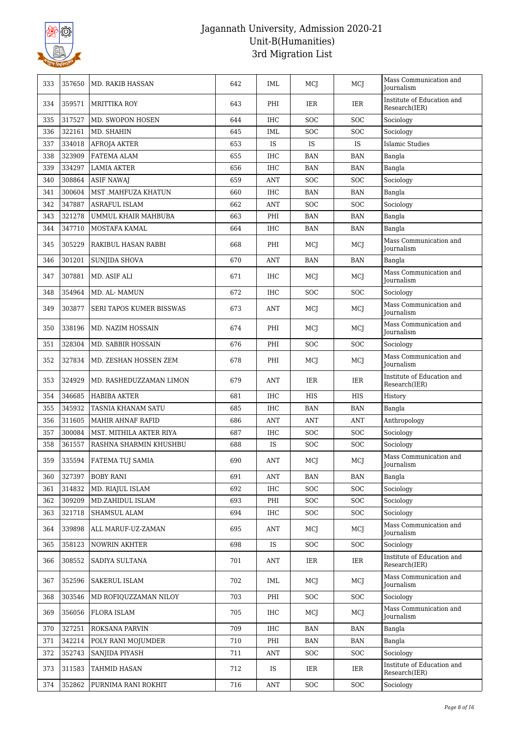

| 333 | 357650 | MD. RAKIB HASSAN         | 642 | IML        | MCJ        | MCJ        | Mass Communication and<br>Journalism        |
|-----|--------|--------------------------|-----|------------|------------|------------|---------------------------------------------|
| 334 | 359571 | <b>MRITTIKA ROY</b>      | 643 | PHI        | IER        | IER        | Institute of Education and<br>Research(IER) |
| 335 | 317527 | MD. SWOPON HOSEN         | 644 | <b>IHC</b> | <b>SOC</b> | <b>SOC</b> | Sociology                                   |
| 336 | 322161 | MD. SHAHIN               | 645 | IML        | SOC        | SOC        | Sociology                                   |
| 337 | 334018 | <b>AFROJA AKTER</b>      | 653 | <b>IS</b>  | IS         | IS         | <b>Islamic Studies</b>                      |
| 338 | 323909 | FATEMA ALAM              | 655 | IHC        | <b>BAN</b> | <b>BAN</b> | Bangla                                      |
| 339 | 334297 | <b>LAMIA AKTER</b>       | 656 | IHC        | <b>BAN</b> | <b>BAN</b> | Bangla                                      |
| 340 | 308864 | <b>ASIF NAWAJ</b>        | 659 | ANT        | SOC        | <b>SOC</b> | Sociology                                   |
| 341 | 300604 | MST .MAHFUZA KHATUN      | 660 | <b>IHC</b> | <b>BAN</b> | <b>BAN</b> | Bangla                                      |
| 342 | 347887 | <b>ASRAFUL ISLAM</b>     | 662 | ANT        | <b>SOC</b> | <b>SOC</b> | Sociology                                   |
| 343 | 321278 | UMMUL KHAIR MAHBUBA      | 663 | PHI        | <b>BAN</b> | <b>BAN</b> | Bangla                                      |
| 344 | 347710 | MOSTAFA KAMAL            | 664 | IHC        | <b>BAN</b> | <b>BAN</b> | Bangla                                      |
| 345 | 305229 | RAKIBUL HASAN RABBI      | 668 | PHI        | MCJ        | MCI        | Mass Communication and<br>Journalism        |
| 346 | 301201 | <b>SUNJIDA SHOVA</b>     | 670 | <b>ANT</b> | <b>BAN</b> | <b>BAN</b> | Bangla                                      |
| 347 | 307881 | MD. ASIF ALI             | 671 | <b>IHC</b> | MCJ        | MCJ        | Mass Communication and<br>Journalism        |
| 348 | 354964 | MD. AL-MAMUN             | 672 | <b>IHC</b> | <b>SOC</b> | SOC        | Sociology                                   |
| 349 | 303877 | SERI TAPOS KUMER BISSWAS | 673 | ANT        | MCJ        | MCI        | Mass Communication and<br><b>Journalism</b> |
| 350 | 338196 | MD. NAZIM HOSSAIN        | 674 | PHI        | MCJ        | MCI        | Mass Communication and<br>Journalism        |
| 351 | 328304 | MD. SABBIR HOSSAIN       | 676 | PHI        | SOC        | SOC        | Sociology                                   |
| 352 | 327834 | MD. ZESHAN HOSSEN ZEM    | 678 | PHI        | MCJ        | MCI        | Mass Communication and<br>Journalism        |
| 353 | 324929 | MD. RASHEDUZZAMAN LIMON  | 679 | ANT        | IER        | IER        | Institute of Education and<br>Research(IER) |
| 354 | 346685 | <b>HABIBA AKTER</b>      | 681 | IHC        | <b>HIS</b> | HIS        | History                                     |
| 355 | 345932 | TASNIA KHANAM SATU       | 685 | IHC        | BAN        | <b>BAN</b> | Bangla                                      |
| 356 | 311605 | <b>MAHIR AHNAF RAFID</b> | 686 | <b>ANT</b> | <b>ANT</b> | <b>ANT</b> | Anthropology                                |
| 357 | 300084 | MST. MITHILA AKTER RIYA  | 687 | IHC        | <b>SOC</b> | SOC        | Sociology                                   |
| 358 | 361557 | RASHNA SHARMIN KHUSHBU   | 688 | IS         | SOC        | <b>SOC</b> | Sociology                                   |
| 359 | 335594 | FATEMA TUJ SAMIA         | 690 | ANT        | MCI        | MCJ        | Mass Communication and<br>Journalism        |
| 360 | 327397 | <b>BOBY RANI</b>         | 691 | <b>ANT</b> | BAN        | <b>BAN</b> | Bangla                                      |
| 361 | 314832 | MD. RIAJUL ISLAM         | 692 | IHC        | <b>SOC</b> | <b>SOC</b> | Sociology                                   |
| 362 | 309209 | MD.ZAHIDUL ISLAM         | 693 | PHI        | <b>SOC</b> | <b>SOC</b> | Sociology                                   |
| 363 | 321718 | SHAMSUL ALAM             | 694 | IHC        | SOC        | SOC        | Sociology                                   |
| 364 | 339898 | ALL MARUF-UZ-ZAMAN       | 695 | ANT        | MCJ        | MCJ        | Mass Communication and<br><b>Journalism</b> |
| 365 | 358123 | NOWRIN AKHTER            | 698 | IS         | SOC        | <b>SOC</b> | Sociology                                   |
| 366 | 308552 | SADIYA SULTANA           | 701 | ANT        | IER        | IER        | Institute of Education and<br>Research(IER) |
| 367 | 352596 | <b>SAKERUL ISLAM</b>     | 702 | IML        | MCI        | MCJ        | Mass Communication and<br>Journalism        |
| 368 | 303546 | MD ROFIQUZZAMAN NILOY    | 703 | PHI        | <b>SOC</b> | <b>SOC</b> | Sociology                                   |
| 369 | 356056 | FLORA ISLAM              | 705 | IHC        | MCJ        | MCI        | Mass Communication and<br><b>Journalism</b> |
| 370 | 327251 | ROKSANA PARVIN           | 709 | IHC        | BAN        | <b>BAN</b> | Bangla                                      |
| 371 | 342214 | POLY RANI MOJUMDER       | 710 | PHI        | <b>BAN</b> | <b>BAN</b> | Bangla                                      |
| 372 | 352743 | SANJIDA PIYASH           | 711 | ANT        | <b>SOC</b> | SOC        | Sociology                                   |
| 373 | 311583 | TAHMID HASAN             | 712 | IS         | IER        | IER        | Institute of Education and<br>Research(IER) |
| 374 | 352862 | PURNIMA RANI ROKHIT      | 716 | ANT        | <b>SOC</b> | <b>SOC</b> | Sociology                                   |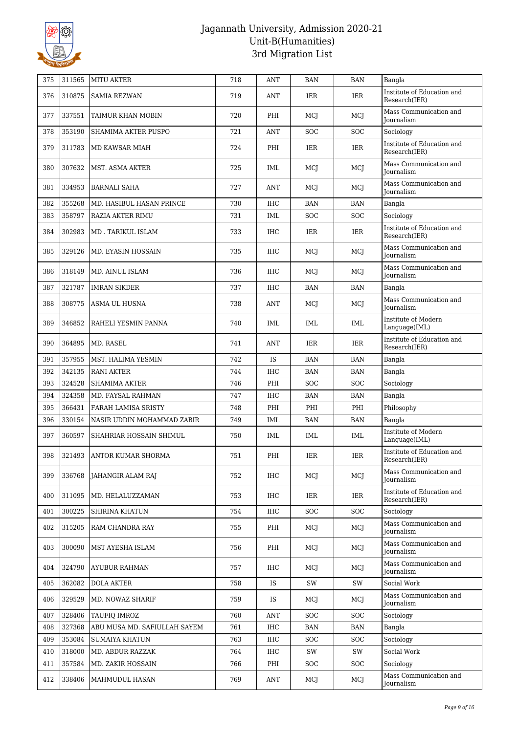

| 375 | 311565 | <b>MITU AKTER</b>            | 718 | ANT        | <b>BAN</b> | <b>BAN</b> | Bangla                                      |
|-----|--------|------------------------------|-----|------------|------------|------------|---------------------------------------------|
| 376 | 310875 | <b>SAMIA REZWAN</b>          | 719 | ANT        | IER        | IER        | Institute of Education and<br>Research(IER) |
| 377 | 337551 | TAIMUR KHAN MOBIN            | 720 | PHI        | MCI        | MCJ        | Mass Communication and<br><b>Iournalism</b> |
| 378 | 353190 | <b>SHAMIMA AKTER PUSPO</b>   | 721 | ANT        | SOC        | <b>SOC</b> | Sociology                                   |
| 379 | 311783 | <b>MD KAWSAR MIAH</b>        | 724 | PHI        | IER        | <b>IER</b> | Institute of Education and<br>Research(IER) |
| 380 | 307632 | MST. ASMA AKTER              | 725 | IML        | MCJ        | MCJ        | Mass Communication and<br><b>Journalism</b> |
| 381 | 334953 | <b>BARNALI SAHA</b>          | 727 | ANT        | MCI        | MCJ        | Mass Communication and<br><b>Journalism</b> |
| 382 | 355268 | MD. HASIBUL HASAN PRINCE     | 730 | <b>IHC</b> | <b>BAN</b> | <b>BAN</b> | Bangla                                      |
| 383 | 358797 | RAZIA AKTER RIMU             | 731 | IML        | <b>SOC</b> | <b>SOC</b> | Sociology                                   |
| 384 | 302983 | MD. TARIKUL ISLAM            | 733 | IHC        | IER        | IER        | Institute of Education and<br>Research(IER) |
| 385 | 329126 | MD. EYASIN HOSSAIN           | 735 | IHC        | MCJ        | MCJ        | Mass Communication and<br>Journalism        |
| 386 | 318149 | MD. AINUL ISLAM              | 736 | IHC        | MCJ        | MCJ        | Mass Communication and<br>Journalism        |
| 387 | 321787 | <b>IMRAN SIKDER</b>          | 737 | IHC        | BAN        | <b>BAN</b> | Bangla                                      |
| 388 | 308775 | ASMA UL HUSNA                | 738 | ANT        | MCJ        | MCJ        | Mass Communication and<br><b>Iournalism</b> |
| 389 | 346852 | RAHELI YESMIN PANNA          | 740 | IML        | IML        | IML        | Institute of Modern<br>Language(IML)        |
| 390 | 364895 | MD. RASEL                    | 741 | ANT        | IER        | <b>IER</b> | Institute of Education and<br>Research(IER) |
| 391 | 357955 | MST. HALIMA YESMIN           | 742 | <b>IS</b>  | <b>BAN</b> | <b>BAN</b> | Bangla                                      |
| 392 | 342135 | <b>RANI AKTER</b>            | 744 | IHC        | <b>BAN</b> | <b>BAN</b> | Bangla                                      |
| 393 | 324528 | <b>SHAMIMA AKTER</b>         | 746 | PHI        | SOC        | <b>SOC</b> | Sociology                                   |
| 394 | 324358 | MD. FAYSAL RAHMAN            | 747 | <b>IHC</b> | <b>BAN</b> | <b>BAN</b> | Bangla                                      |
| 395 | 366431 | FARAH LAMISA SRISTY          | 748 | PHI        | PHI        | PHI        | Philosophy                                  |
| 396 | 330154 | NASIR UDDIN MOHAMMAD ZABIR   | 749 | IML        | <b>BAN</b> | <b>BAN</b> | Bangla                                      |
| 397 | 360597 | SHAHRIAR HOSSAIN SHIMUL      | 750 | IML        | IML        | IML        | Institute of Modern<br>Language(IML)        |
| 398 | 321493 | ANTOR KUMAR SHORMA           | 751 | PHI        | IER        | IER        | Institute of Education and<br>Research(IER) |
| 399 | 336768 | JAHANGIR ALAM RAJ            | 752 | IHC        | MCJ        | MCI        | Mass Communication and<br><b>Journalism</b> |
| 400 | 311095 | MD. HELALUZZAMAN             | 753 | IHC        | IER        | IER        | Institute of Education and<br>Research(IER) |
| 401 | 300225 | <b>SHIRINA KHATUN</b>        | 754 | IHC        | SOC        | <b>SOC</b> | Sociology                                   |
| 402 | 315205 | RAM CHANDRA RAY              | 755 | PHI        | MCJ        | MCJ        | Mass Communication and<br><b>Journalism</b> |
| 403 | 300090 | MST AYESHA ISLAM             | 756 | PHI        | MCJ        | MCJ        | Mass Communication and<br>Journalism        |
| 404 | 324790 | <b>AYUBUR RAHMAN</b>         | 757 | IHC        | MCJ        | MCJ        | Mass Communication and<br>Journalism        |
| 405 | 362082 | <b>DOLA AKTER</b>            | 758 | <b>IS</b>  | SW         | SW         | Social Work                                 |
| 406 | 329529 | MD. NOWAZ SHARIF             | 759 | IS         | MCJ        | MCJ        | Mass Communication and<br>Journalism        |
| 407 | 328406 | TAUFIO IMROZ                 | 760 | ANT        | <b>SOC</b> | <b>SOC</b> | Sociology                                   |
| 408 | 327368 | ABU MUSA MD. SAFIULLAH SAYEM | 761 | IHC        | BAN        | <b>BAN</b> | Bangla                                      |
| 409 | 353084 | <b>SUMAIYA KHATUN</b>        | 763 | IHC        | <b>SOC</b> | <b>SOC</b> | Sociology                                   |
| 410 | 318000 | MD. ABDUR RAZZAK             | 764 | IHC        | SW         | SW         | Social Work                                 |
| 411 | 357584 | MD. ZAKIR HOSSAIN            | 766 | PHI        | SOC        | <b>SOC</b> | Sociology                                   |
| 412 | 338406 | MAHMUDUL HASAN               | 769 | ANT        | MCJ        | MCJ        | Mass Communication and<br>Journalism        |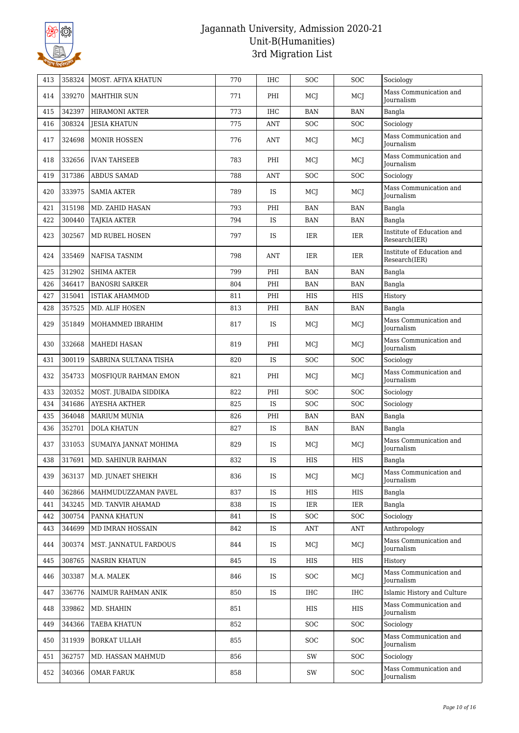

| 413 | 358324 | <b>MOST. AFIYA KHATUN</b> | 770 | IHC        | SOC        | <b>SOC</b> | Sociology                                   |
|-----|--------|---------------------------|-----|------------|------------|------------|---------------------------------------------|
| 414 | 339270 | <b>MAHTHIR SUN</b>        | 771 | PHI        | MCI        | MCI        | Mass Communication and<br>Journalism        |
| 415 | 342397 | <b>HIRAMONI AKTER</b>     | 773 | <b>IHC</b> | <b>BAN</b> | <b>BAN</b> | Bangla                                      |
| 416 | 308324 | <b>JESIA KHATUN</b>       | 775 | <b>ANT</b> | SOC        | SOC        | Sociology                                   |
| 417 | 324698 | <b>MONIR HOSSEN</b>       | 776 | ANT        | MCJ        | MCJ        | Mass Communication and<br>Journalism        |
| 418 | 332656 | <b>IVAN TAHSEEB</b>       | 783 | PHI        | MCJ        | MCJ        | Mass Communication and<br>Journalism        |
| 419 | 317386 | <b>ABDUS SAMAD</b>        | 788 | ANT        | SOC        | SOC        | Sociology                                   |
| 420 | 333975 | <b>SAMIA AKTER</b>        | 789 | IS         | MCJ        | MCJ        | Mass Communication and<br>Journalism        |
| 421 | 315198 | MD. ZAHID HASAN           | 793 | PHI        | <b>BAN</b> | <b>BAN</b> | Bangla                                      |
| 422 | 300440 | TAJKIA AKTER              | 794 | IS         | <b>BAN</b> | <b>BAN</b> | Bangla                                      |
| 423 | 302567 | MD RUBEL HOSEN            | 797 | IS         | IER        | IER        | Institute of Education and<br>Research(IER) |
| 424 | 335469 | <b>NAFISA TASNIM</b>      | 798 | ANT        | IER        | IER        | Institute of Education and<br>Research(IER) |
| 425 | 312902 | <b>SHIMA AKTER</b>        | 799 | PHI        | <b>BAN</b> | <b>BAN</b> | Bangla                                      |
| 426 | 346417 | <b>BANOSRI SARKER</b>     | 804 | PHI        | <b>BAN</b> | <b>BAN</b> | Bangla                                      |
| 427 | 315041 | <b>ISTIAK AHAMMOD</b>     | 811 | PHI        | <b>HIS</b> | <b>HIS</b> | History                                     |
| 428 | 357525 | MD. ALIF HOSEN            | 813 | PHI        | <b>BAN</b> | <b>BAN</b> | Bangla                                      |
| 429 | 351849 | MOHAMMED IBRAHIM          | 817 | IS         | MCJ        | MCI        | Mass Communication and<br><b>Journalism</b> |
| 430 | 332668 | <b>MAHEDI HASAN</b>       | 819 | PHI        | MCJ        | MCJ        | Mass Communication and<br>Journalism        |
| 431 | 300119 | SABRINA SULTANA TISHA     | 820 | IS         | SOC        | SOC        | Sociology                                   |
| 432 | 354733 | MOSFIQUR RAHMAN EMON      | 821 | PHI        | MCJ        | MCJ        | Mass Communication and<br><b>Journalism</b> |
| 433 | 320352 | MOST. JUBAIDA SIDDIKA     | 822 | PHI        | SOC        | <b>SOC</b> | Sociology                                   |
| 434 | 341686 | <b>AYESHA AKTHER</b>      | 825 | IS         | SOC        | SOC        | Sociology                                   |
| 435 | 364048 | <b>MARIUM MUNIA</b>       | 826 | PHI        | <b>BAN</b> | <b>BAN</b> | Bangla                                      |
| 436 | 352701 | <b>DOLA KHATUN</b>        | 827 | IS         | <b>BAN</b> | <b>BAN</b> | Bangla                                      |
| 437 | 331053 | SUMAIYA JANNAT MOHIMA     | 829 | IS         | MCJ        | MCI        | Mass Communication and<br><b>Journalism</b> |
| 438 | 317691 | MD. SAHINUR RAHMAN        | 832 | IS         | HIS        | HIS        | Bangla                                      |
| 439 | 363137 | MD. JUNAET SHEIKH         | 836 | IS         | MCJ        | MCI        | Mass Communication and<br>Journalism        |
| 440 | 362866 | MAHMUDUZZAMAN PAVEL       | 837 | IS         | HIS        | HIS        | Bangla                                      |
| 441 | 343245 | MD. TANVIR AHAMAD         | 838 | <b>IS</b>  | IER        | IER        | Bangla                                      |
| 442 | 300754 | PANNA KHATUN              | 841 | IS         | <b>SOC</b> | SOC        | Sociology                                   |
| 443 | 344699 | MD IMRAN HOSSAIN          | 842 | IS         | ANT        | <b>ANT</b> | Anthropology                                |
| 444 | 300374 | MST. JANNATUL FARDOUS     | 844 | IS         | MCJ        | MCJ        | Mass Communication and<br><b>Journalism</b> |
| 445 | 308765 | <b>NASRIN KHATUN</b>      | 845 | <b>IS</b>  | HIS        | HIS        | History                                     |
| 446 | 303387 | M.A. MALEK                | 846 | <b>IS</b>  | <b>SOC</b> | MCJ        | Mass Communication and<br>Journalism        |
| 447 | 336776 | NAIMUR RAHMAN ANIK        | 850 | IS         | <b>IHC</b> | <b>IHC</b> | Islamic History and Culture                 |
| 448 | 339862 | MD. SHAHIN                | 851 |            | HIS        | HIS        | Mass Communication and<br>Journalism        |
| 449 | 344366 | TAEBA KHATUN              | 852 |            | SOC        | <b>SOC</b> | Sociology                                   |
| 450 | 311939 | <b>BORKAT ULLAH</b>       | 855 |            | SOC        | <b>SOC</b> | Mass Communication and<br>Journalism        |
| 451 | 362757 | MD. HASSAN MAHMUD         | 856 |            | SW         | SOC        | Sociology                                   |
| 452 | 340366 | OMAR FARUK                | 858 |            | SW         | <b>SOC</b> | Mass Communication and<br>Journalism        |
|     |        |                           |     |            |            |            |                                             |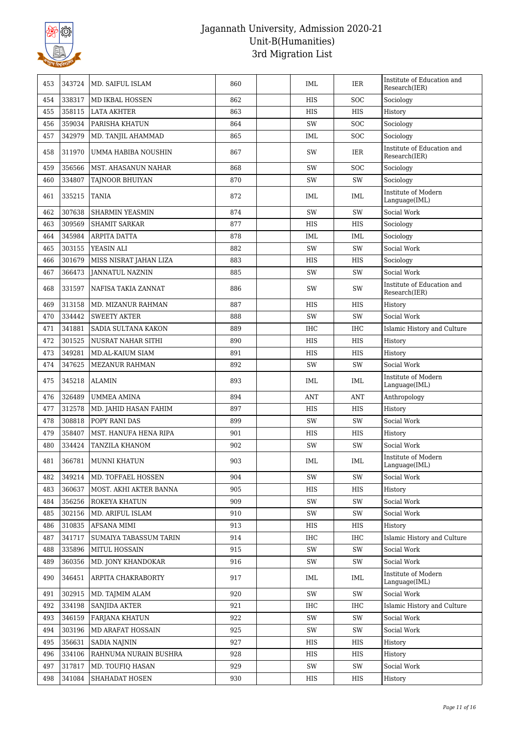

| 453 | 343724 | MD. SAIFUL ISLAM           | 860 | <b>IML</b> | IER        | Institute of Education and<br>Research(IER) |
|-----|--------|----------------------------|-----|------------|------------|---------------------------------------------|
| 454 | 338317 | MD IKBAL HOSSEN            | 862 | <b>HIS</b> | <b>SOC</b> | Sociology                                   |
| 455 | 358115 | <b>LATA AKHTER</b>         | 863 | HIS        | <b>HIS</b> | History                                     |
| 456 | 359034 | PARISHA KHATUN             | 864 | SW         | <b>SOC</b> | Sociology                                   |
| 457 | 342979 | MD. TANJIL AHAMMAD         | 865 | IML        | <b>SOC</b> | Sociology                                   |
| 458 | 311970 | UMMA HABIBA NOUSHIN        | 867 | SW         | IER        | Institute of Education and<br>Research(IER) |
| 459 | 356566 | <b>MST. AHASANUN NAHAR</b> | 868 | SW         | <b>SOC</b> | Sociology                                   |
| 460 | 334807 | TAJNOOR BHUIYAN            | 870 | SW         | SW         | Sociology                                   |
| 461 | 335215 | <b>TANIA</b>               | 872 | IML        | IML        | Institute of Modern<br>Language(IML)        |
| 462 | 307638 | <b>SHARMIN YEASMIN</b>     | 874 | SW         | SW         | Social Work                                 |
| 463 | 309569 | <b>SHAMIT SARKAR</b>       | 877 | <b>HIS</b> | <b>HIS</b> | Sociology                                   |
| 464 | 345984 | ARPITA DATTA               | 878 | IML        | IML        | Sociology                                   |
| 465 | 303155 | YEASIN ALI                 | 882 | SW         | SW         | Social Work                                 |
| 466 | 301679 | MISS NISRAT JAHAN LIZA     | 883 | HIS        | <b>HIS</b> | Sociology                                   |
| 467 | 366473 | <b>JANNATUL NAZNIN</b>     | 885 | SW         | SW         | Social Work                                 |
| 468 | 331597 | NAFISA TAKIA ZANNAT        | 886 | SW         | SW         | Institute of Education and<br>Research(IER) |
| 469 | 313158 | MD. MIZANUR RAHMAN         | 887 | HIS        | <b>HIS</b> | History                                     |
| 470 | 334442 | <b>SWEETY AKTER</b>        | 888 | SW         | SW         | Social Work                                 |
| 471 | 341881 | SADIA SULTANA KAKON        | 889 | <b>IHC</b> | <b>IHC</b> | Islamic History and Culture                 |
| 472 | 301525 | NUSRAT NAHAR SITHI         | 890 | HIS        | <b>HIS</b> | History                                     |
| 473 | 349281 | MD.AL-KAIUM SIAM           | 891 | HIS        | <b>HIS</b> | History                                     |
| 474 | 347625 | MEZANUR RAHMAN             | 892 | SW         | SW         | Social Work                                 |
| 475 | 345218 | <b>ALAMIN</b>              | 893 | IML        | IML        | Institute of Modern<br>Language(IML)        |
| 476 | 326489 | <b>UMMEA AMINA</b>         | 894 | <b>ANT</b> | <b>ANT</b> | Anthropology                                |
| 477 | 312578 | MD. JAHID HASAN FAHIM      | 897 | HIS        | <b>HIS</b> | History                                     |
| 478 | 308818 | POPY RANI DAS              | 899 | SW         | SW         | Social Work                                 |
| 479 | 358407 | MST. HANUFA HENA RIPA      | 901 | HIS        | <b>HIS</b> | History                                     |
| 480 | 334424 | TANZILA KHANOM             | 902 | SW         | SW         | Social Work                                 |
| 481 |        | 366781   MUNNI KHATUN      | 903 | IML        | IML        | Institute of Modern<br>Language(IML)        |
| 482 | 349214 | MD. TOFFAEL HOSSEN         | 904 | SW         | SW         | Social Work                                 |
| 483 | 360637 | MOST. AKHI AKTER BANNA     | 905 | HIS        | HIS        | History                                     |
| 484 | 356256 | ROKEYA KHATUN              | 909 | SW         | SW         | Social Work                                 |
| 485 | 302156 | MD. ARIFUL ISLAM           | 910 | SW         | SW         | Social Work                                 |
| 486 | 310835 | AFSANA MIMI                | 913 | HIS        | HIS        | History                                     |
| 487 | 341717 | SUMAIYA TABASSUM TARIN     | 914 | <b>IHC</b> | IHC        | Islamic History and Culture                 |
| 488 | 335896 | MITUL HOSSAIN              | 915 | SW         | SW         | Social Work                                 |
| 489 | 360356 | MD. JONY KHANDOKAR         | 916 | SW         | SW         | Social Work                                 |
| 490 | 346451 | ARPITA CHAKRABORTY         | 917 | IML        | IML        | Institute of Modern<br>Language(IML)        |
| 491 | 302915 | MD. TAJMIM ALAM            | 920 | SW         | SW         | Social Work                                 |
| 492 | 334198 | <b>SANJIDA AKTER</b>       | 921 | IHC        | <b>IHC</b> | Islamic History and Culture                 |
| 493 | 346159 | <b>FARJANA KHATUN</b>      | 922 | SW         | SW         | Social Work                                 |
| 494 | 303196 | MD ARAFAT HOSSAIN          | 925 | SW         | SW         | Social Work                                 |
| 495 | 356631 | SADIA NAJNIN               | 927 | HIS        | HIS        | History                                     |
| 496 | 334106 | RAHNUMA NURAIN BUSHRA      | 928 | HIS        | HIS        | History                                     |
| 497 | 317817 | MD. TOUFIQ HASAN           | 929 | SW         | SW         | Social Work                                 |
| 498 | 341084 | SHAHADAT HOSEN             | 930 | HIS        | HIS        | History                                     |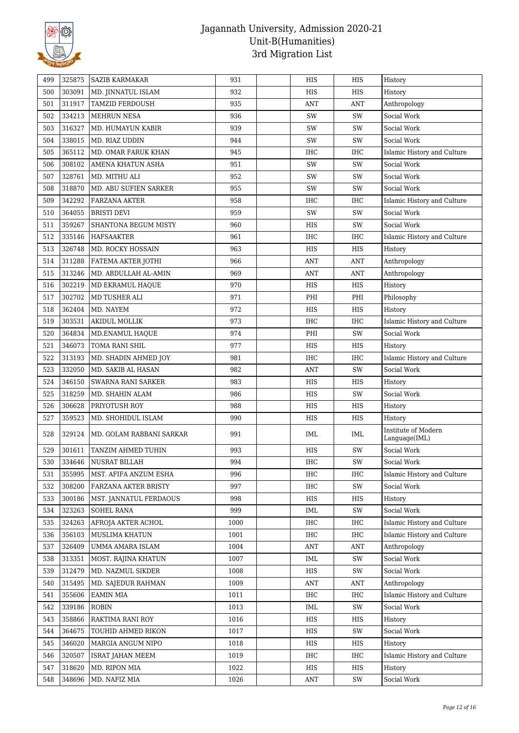

| 499 | 325875 | <b>SAZIB KARMAKAR</b>    | 931  | HIS        | HIS        | History                              |
|-----|--------|--------------------------|------|------------|------------|--------------------------------------|
| 500 | 303091 | MD. JINNATUL ISLAM       | 932  | HIS        | <b>HIS</b> | History                              |
| 501 | 311917 | <b>TAMZID FERDOUSH</b>   | 935  | ANT        | <b>ANT</b> | Anthropology                         |
| 502 | 334213 | <b>MEHRUN NESA</b>       | 936  | SW         | SW         | Social Work                          |
| 503 | 316327 | MD. HUMAYUN KABIR        | 939  | SW         | SW         | Social Work                          |
| 504 | 338015 | MD. RIAZ UDDIN           | 944  | SW         | SW         | Social Work                          |
| 505 | 365112 | MD. OMAR FARUK KHAN      | 945  | <b>IHC</b> | <b>IHC</b> | Islamic History and Culture          |
| 506 | 308102 | AMENA KHATUN ASHA        | 951  | SW         | SW         | Social Work                          |
| 507 | 328761 | MD. MITHU ALI            | 952  | SW         | SW         | Social Work                          |
| 508 | 318870 | MD. ABU SUFIEN SARKER    | 955  | SW         | SW         | Social Work                          |
| 509 | 342292 | <b>FARZANA AKTER</b>     | 958  | IHC        | <b>IHC</b> | Islamic History and Culture          |
| 510 | 364055 | <b>BRISTI DEVI</b>       | 959  | SW         | SW         | Social Work                          |
| 511 | 359267 | SHANTONA BEGUM MISTY     | 960  | HIS        | SW         | Social Work                          |
| 512 | 335146 | HAFSAAKTER               | 961  | IHC        | <b>IHC</b> | Islamic History and Culture          |
| 513 | 326748 | MD. ROCKY HOSSAIN        | 963  | HIS        | HIS        | History                              |
| 514 | 311288 | FATEMA AKTER JOTHI       | 966  | ANT        | <b>ANT</b> | Anthropology                         |
| 515 | 313246 | MD. ABDULLAH AL-AMIN     | 969  | <b>ANT</b> | ANT        | Anthropology                         |
| 516 | 302219 | MD EKRAMUL HAQUE         | 970  | HIS        | <b>HIS</b> | History                              |
| 517 | 302702 | MD TUSHER ALI            | 971  | PHI        | PHI        | Philosophy                           |
| 518 | 362404 | MD. NAYEM                | 972  | HIS        | HIS        | History                              |
| 519 | 303531 | <b>AKIDUL MOLLIK</b>     | 973  | IHC        | <b>IHC</b> | Islamic History and Culture          |
| 520 | 364834 | MD.ENAMUL HAQUE          | 974  | PHI        | SW         | Social Work                          |
| 521 | 346073 | TOMA RANI SHIL           | 977  | HIS        | <b>HIS</b> | History                              |
| 522 | 313193 | MD. SHADIN AHMED JOY     | 981  | IHC        | <b>IHC</b> | Islamic History and Culture          |
| 523 | 332050 | MD. SAKIB AL HASAN       | 982  | ANT        | SW         | Social Work                          |
| 524 | 346150 | SWARNA RANI SARKER       | 983  | HIS        | HIS        | History                              |
| 525 | 318259 | MD. SHAHIN ALAM          | 986  | HIS        | SW         | Social Work                          |
| 526 | 306628 | PRIYOTUSH ROY            | 988  | HIS        | <b>HIS</b> | History                              |
| 527 | 359523 | MD. SHOHIDUL ISLAM       | 990  | HIS        | HIS        | History                              |
| 528 | 329124 | MD. GOLAM RABBANI SARKAR | 991  | IML        | IML        | Institute of Modern<br>Language(IML) |
| 529 | 301611 | TANZIM AHMED TUHIN       | 993  | HIS        | SW         | Social Work                          |
| 530 | 334646 | NUSRAT BILLAH            | 994  | $\rm IHC$  | SW         | Social Work                          |
| 531 | 355995 | MST. AFIFA ANZUM ESHA    | 996  | IHC        | IHC        | Islamic History and Culture          |
| 532 | 308200 | FARZANA AKTER BRISTY     | 997  | IHC        | SW         | Social Work                          |
| 533 | 300186 | MST. JANNATUL FERDAOUS   | 998  | HIS        | HIS        | History                              |
| 534 | 323263 | <b>SOHEL RANA</b>        | 999  | <b>IML</b> | SW         | Social Work                          |
| 535 | 324263 | AFROJA AKTER ACHOL       | 1000 | <b>IHC</b> | IHC        | Islamic History and Culture          |
| 536 | 356103 | MUSLIMA KHATUN           | 1001 | IHC        | IHC        | Islamic History and Culture          |
| 537 | 326409 | UMMA AMARA ISLAM         | 1004 | ANT        | <b>ANT</b> | Anthropology                         |
| 538 | 313351 | MOST. RAJINA KHATUN      | 1007 | IML        | SW         | Social Work                          |
| 539 | 312479 | MD. NAZMUL SIKDER        | 1008 | HIS        | SW         | Social Work                          |
| 540 | 315495 | MD. SAJEDUR RAHMAN       | 1009 | <b>ANT</b> | <b>ANT</b> | Anthropology                         |
| 541 | 355606 | <b>EAMIN MIA</b>         | 1011 | <b>IHC</b> | IHC        | Islamic History and Culture          |
| 542 | 339186 | ROBIN                    | 1013 | IML        | SW         | Social Work                          |
| 543 | 358866 | RAKTIMA RANI ROY         | 1016 | HIS        | HIS        | History                              |
| 544 | 364675 | TOUHID AHMED RIKON       | 1017 | HIS        | SW         | Social Work                          |
| 545 | 346020 | MARGIA ANGUM NIPO        | 1018 | HIS        | HIS        | History                              |
| 546 | 320507 | <b>ISRAT JAHAN MEEM</b>  | 1019 | IHC        | <b>IHC</b> | Islamic History and Culture          |
| 547 |        |                          |      |            |            |                                      |
|     | 318620 | MD. RIPON MIA            | 1022 | HIS        | HIS        | History                              |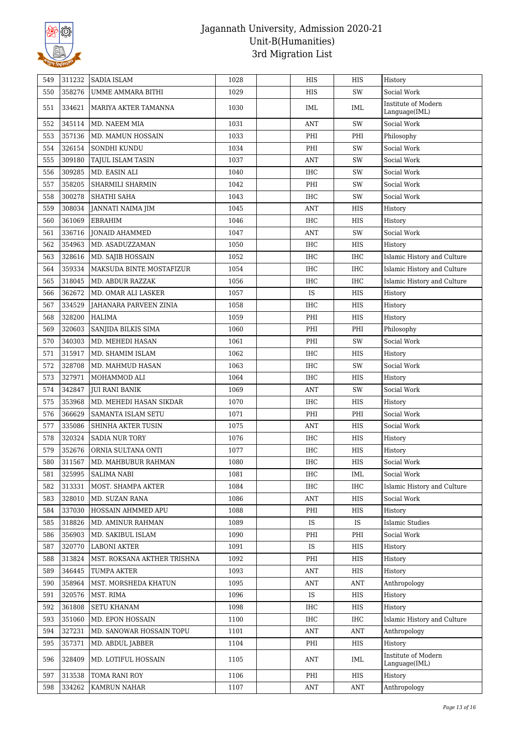

| 311232<br><b>SADIA ISLAM</b><br>549          | 1028 | HIS        | HIS        | History                              |
|----------------------------------------------|------|------------|------------|--------------------------------------|
| 358276<br>550<br>UMME AMMARA BITHI           | 1029 | HIS        | SW         | Social Work                          |
| 551<br>334621<br>MARIYA AKTER TAMANNA        | 1030 | <b>IML</b> | IML        | Institute of Modern<br>Language(IML) |
| 345114<br>552<br>MD. NAEEM MIA               | 1031 | ANT        | SW         | Social Work                          |
| 553<br>357136<br>MD. MAMUN HOSSAIN           | 1033 | PHI        | PHI        | Philosophy                           |
| 326154<br>554<br>SONDHI KUNDU                | 1034 | PHI        | SW         | Social Work                          |
| 309180<br>555<br>TAJUL ISLAM TASIN           | 1037 | ANT        | SW         | Social Work                          |
| 309285<br>MD. EASIN ALI<br>556               | 1040 | <b>IHC</b> | SW         | Social Work                          |
| 557<br>358205<br>SHARMILI SHARMIN            | 1042 | PHI        | SW         | Social Work                          |
| 300278<br>558<br><b>SHATHI SAHA</b>          | 1043 | <b>IHC</b> | SW         | Social Work                          |
| 559<br>308034<br>JANNATI NAIMA JIM           | 1045 | ANT        | HIS        | History                              |
| 361069<br>560<br>EBRAHIM                     | 1046 | <b>IHC</b> | HIS        | History                              |
| 336716<br>561<br><b>JONAID AHAMMED</b>       | 1047 | ANT        | SW         | Social Work                          |
| 354963<br>562<br>MD. ASADUZZAMAN             | 1050 | <b>IHC</b> | HIS        | History                              |
| 328616<br>563<br>MD. SAJIB HOSSAIN           | 1052 | IHC        | <b>IHC</b> | Islamic History and Culture          |
| 359334<br>564<br>MAKSUDA BINTE MOSTAFIZUR    | 1054 | <b>IHC</b> | <b>IHC</b> | Islamic History and Culture          |
| 318045<br>565<br>MD. ABDUR RAZZAK            | 1056 | <b>IHC</b> | <b>IHC</b> | Islamic History and Culture          |
| 362672<br>MD. OMAR ALI LASKER<br>566         | 1057 | IS         | HIS        | History                              |
| 567<br>334529<br>JAHANARA PARVEEN ZINIA      | 1058 | IHC        | <b>HIS</b> | History                              |
| 328200<br>568<br>HALIMA                      | 1059 | PHI        | HIS        | History                              |
| 320603<br>569<br>SANJIDA BILKIS SIMA         | 1060 | PHI        | PHI        | Philosophy                           |
| 340303<br>570<br>MD. MEHEDI HASAN            | 1061 | PHI        | SW         | Social Work                          |
| 315917<br>571<br>MD. SHAMIM ISLAM            | 1062 | <b>IHC</b> | HIS        | History                              |
| 328708<br>572<br>MD. MAHMUD HASAN            | 1063 | IHC        | SW         | Social Work                          |
| 327971<br>573<br>MOHAMMOD ALI                | 1064 | <b>IHC</b> | HIS        | History                              |
| 342847<br>574<br><b>JUI RANI BANIK</b>       | 1069 | ANT        | SW         | Social Work                          |
| 353968<br>575<br>MD. MEHEDI HASAN SIKDAR     | 1070 | <b>IHC</b> | HIS        | History                              |
| 366629<br>576<br>SAMANTA ISLAM SETU          | 1071 | PHI        | PHI        | Social Work                          |
| 577<br>335086<br>SHINHA AKTER TUSIN          | 1075 | ANT        | HIS        | Social Work                          |
| 578<br>320324<br><b>SADIA NUR TORY</b>       | 1076 | IHC        | HIS        | History                              |
| 352676<br>579<br>ORNIA SULTANA ONTI          | 1077 | IHC        | <b>HIS</b> | History                              |
| 311567<br>580<br>MD. MAHBUBUR RAHMAN         | 1080 | $\rm IHC$  | HIS        | Social Work                          |
| 325995<br>SALIMA NABI<br>581                 | 1081 | IHC        | IML        | Social Work                          |
| 313331<br>MOST. SHAMPA AKTER<br>582          | 1084 | IHC        | <b>IHC</b> | Islamic History and Culture          |
| 328010<br>583<br><b>MD. SUZAN RANA</b>       | 1086 | ANT        | HIS        | Social Work                          |
| 337030<br>584<br>HOSSAIN AHMMED APU          | 1088 | PHI        | HIS        | History                              |
| 318826<br>MD. AMINUR RAHMAN<br>585           | 1089 | IS         | IS         | <b>Islamic Studies</b>               |
| 356903<br>MD. SAKIBUL ISLAM<br>586           | 1090 | PHI        | PHI        | Social Work                          |
| 587<br>320770<br><b>LABONI AKTER</b>         | 1091 | IS.        | HIS        | History                              |
| 313824<br>588<br>MST. ROKSANA AKTHER TRISHNA | 1092 | PHI        | HIS        | History                              |
| 346445<br>TUMPA AKTER<br>589                 | 1093 | ANT        | HIS        | History                              |
| 590<br>358964<br>MST. MORSHEDA KHATUN        | 1095 | ANT        | <b>ANT</b> | Anthropology                         |
| 320576<br>MST. RIMA<br>591                   | 1096 | <b>IS</b>  | HIS        | History                              |
| 361808<br><b>SETU KHANAM</b><br>592          | 1098 | IHC        | HIS        | History                              |
| 593<br>351060<br>MD. EPON HOSSAIN            | 1100 | IHC        | <b>IHC</b> | Islamic History and Culture          |
| 327231<br>594<br>MD. SANOWAR HOSSAIN TOPU    | 1101 | ANT        | ANT        | Anthropology                         |
| 595<br>357371<br>MD. ABDUL JABBER            | 1104 | PHI        | HIS        | History                              |
| 328409<br>MD. LOTIFUL HOSSAIN<br>596         | 1105 | ANT        | IML        | Institute of Modern<br>Language(IML) |
| 313538<br>TOMA RANI ROY<br>597               | 1106 | PHI        | HIS        | History                              |
| 334262<br>598<br>KAMRUN NAHAR                | 1107 | ANT        | <b>ANT</b> | Anthropology                         |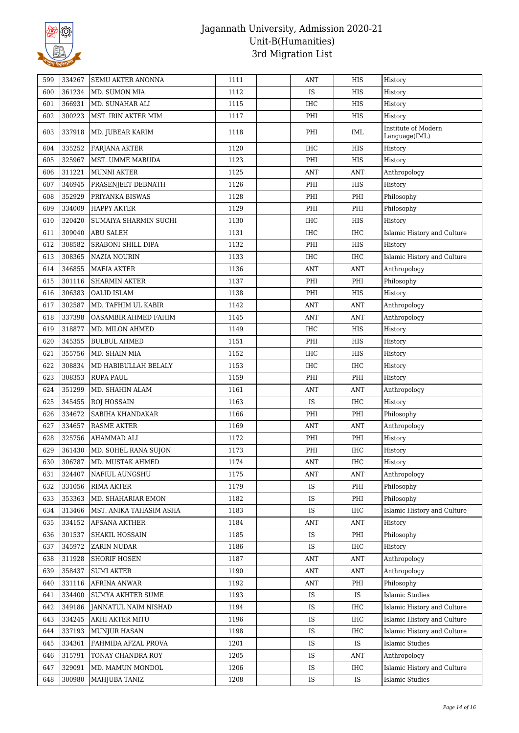

| 599 | 334267 | SEMU AKTER ANONNA        | 1111 | ANT        | HIS        | History                              |
|-----|--------|--------------------------|------|------------|------------|--------------------------------------|
| 600 | 361234 | MD. SUMON MIA            | 1112 | IS         | <b>HIS</b> | History                              |
| 601 | 366931 | MD. SUNAHAR ALI          | 1115 | <b>IHC</b> | HIS        | History                              |
| 602 | 300223 | MST. IRIN AKTER MIM      | 1117 | PHI        | HIS        | History                              |
| 603 | 337918 | MD. JUBEAR KARIM         | 1118 | PHI        | IML        | Institute of Modern<br>Language(IML) |
| 604 | 335252 | <b>FARJANA AKTER</b>     | 1120 | <b>IHC</b> | HIS        | History                              |
| 605 | 325967 | MST. UMME MABUDA         | 1123 | PHI        | <b>HIS</b> | History                              |
| 606 | 311221 | <b>MUNNI AKTER</b>       | 1125 | ANT        | <b>ANT</b> | Anthropology                         |
| 607 | 346945 | PRASENJEET DEBNATH       | 1126 | PHI        | HIS        | History                              |
| 608 | 352929 | PRIYANKA BISWAS          | 1128 | PHI        | PHI        | Philosophy                           |
| 609 | 334009 | <b>HAPPY AKTER</b>       | 1129 | PHI        | PHI        | Philosophy                           |
| 610 | 320420 | SUMAIYA SHARMIN SUCHI    | 1130 | IHC        | HIS        | History                              |
| 611 | 309040 | <b>ABU SALEH</b>         | 1131 | IHC        | <b>IHC</b> | Islamic History and Culture          |
| 612 | 308582 | SRABONI SHILL DIPA       | 1132 | PHI        | HIS        | History                              |
| 613 | 308365 | NAZIA NOURIN             | 1133 | IHC        | <b>IHC</b> | Islamic History and Culture          |
| 614 | 346855 | <b>MAFIA AKTER</b>       | 1136 | ANT        | <b>ANT</b> | Anthropology                         |
| 615 | 301116 | <b>SHARMIN AKTER</b>     | 1137 | PHI        | PHI        | Philosophy                           |
| 616 | 306383 | <b>OALID ISLAM</b>       | 1138 | PHI        | HIS        | History                              |
| 617 | 302587 | MD. TAFHIM UL KABIR      | 1142 | ANT        | <b>ANT</b> | Anthropology                         |
| 618 | 337398 | OASAMBIR AHMED FAHIM     | 1145 | ANT        | <b>ANT</b> | Anthropology                         |
| 619 | 318877 | MD. MILON AHMED          | 1149 | IHC        | HIS        | History                              |
| 620 | 345355 | <b>BULBUL AHMED</b>      | 1151 | PHI        | HIS        | History                              |
| 621 | 355756 | MD. SHAIN MIA            | 1152 | <b>IHC</b> | HIS        | History                              |
| 622 | 308834 | MD HABIBULLAH BELALY     | 1153 | IHC        | <b>IHC</b> | History                              |
| 623 | 308353 | <b>RUPA PAUL</b>         | 1159 | PHI        | PHI        | History                              |
| 624 | 351299 | MD. SHAHIN ALAM          | 1161 | <b>ANT</b> | ANT        | Anthropology                         |
| 625 | 345455 | ROJ HOSSAIN              | 1163 | IS         | <b>IHC</b> | History                              |
| 626 | 334672 | SABIHA KHANDAKAR         | 1166 | PHI        | PHI        | Philosophy                           |
| 627 | 334657 | <b>RASME AKTER</b>       | 1169 | ANT        | <b>ANT</b> | Anthropology                         |
| 628 | 325756 | AHAMMAD ALI              | 1172 | PHI        | PHI        | History                              |
| 629 | 361430 | MD. SOHEL RANA SUJON     | 1173 | PHI        | <b>IHC</b> | History                              |
| 630 | 306787 | MD. MUSTAK AHMED         | 1174 | ANT        | IHC        | History                              |
| 631 | 324407 | NAFIUL AUNGSHU           | 1175 | ANT        | ANT        | Anthropology                         |
| 632 | 331056 | <b>RIMA AKTER</b>        | 1179 | IS         | PHI        | Philosophy                           |
| 633 | 353363 | MD. SHAHARIAR EMON       | 1182 | <b>IS</b>  | PHI        | Philosophy                           |
| 634 | 313466 | MST. ANIKA TAHASIM ASHA  | 1183 | <b>IS</b>  | <b>IHC</b> | Islamic History and Culture          |
| 635 | 334152 | AFSANA AKTHER            | 1184 | ANT        | <b>ANT</b> | History                              |
| 636 | 301537 | SHAKIL HOSSAIN           | 1185 | IS         | PHI        | Philosophy                           |
| 637 | 345972 | <b>ZARIN NUDAR</b>       | 1186 | IS         | IHC        | History                              |
| 638 | 311928 | <b>SHORIF HOSEN</b>      | 1187 | ANT        | ANT        | Anthropology                         |
| 639 | 358437 | <b>SUMI AKTER</b>        | 1190 | ANT        | <b>ANT</b> | Anthropology                         |
| 640 | 331116 | <b>AFRINA ANWAR</b>      | 1192 | ANT        | PHI        | Philosophy                           |
| 641 | 334400 | <b>SUMYA AKHTER SUME</b> | 1193 | <b>IS</b>  | IS         | <b>Islamic Studies</b>               |
| 642 | 349186 | JANNATUL NAIM NISHAD     | 1194 | IS         | IHC        | Islamic History and Culture          |
| 643 | 334245 | AKHI AKTER MITU          | 1196 | IS         | IHC        | Islamic History and Culture          |
| 644 | 337193 | MUNJUR HASAN             | 1198 | IS         | IHC        | Islamic History and Culture          |
| 645 | 334361 | FAHMIDA AFZAL PROVA      | 1201 | IS         | IS         | <b>Islamic Studies</b>               |
| 646 | 315791 | TONAY CHANDRA ROY        | 1205 | IS         | <b>ANT</b> | Anthropology                         |
| 647 | 329091 | MD. MAMUN MONDOL         | 1206 | <b>IS</b>  | IHC        | Islamic History and Culture          |
| 648 | 300980 | MAHJUBA TANIZ            | 1208 | IS         | IS         | <b>Islamic Studies</b>               |
|     |        |                          |      |            |            |                                      |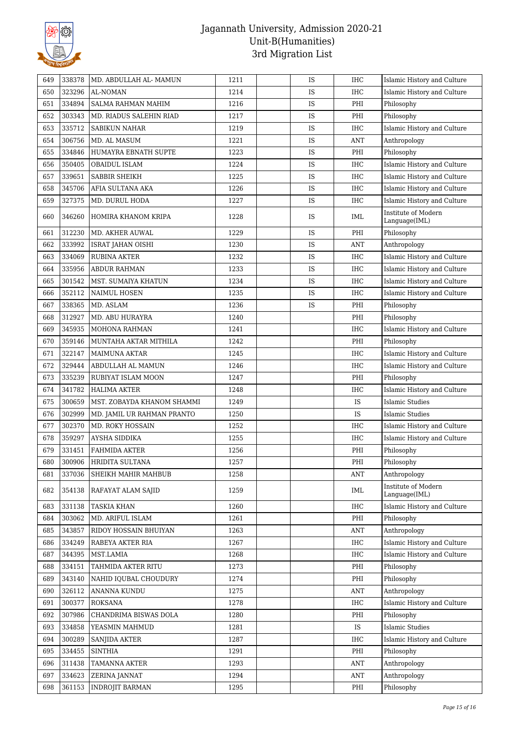

| 649 | 338378 | MD. ABDULLAH AL- MAMUN     | 1211 | IS | <b>IHC</b> | Islamic History and Culture          |
|-----|--------|----------------------------|------|----|------------|--------------------------------------|
| 650 | 323296 | AL-NOMAN                   | 1214 | IS | <b>IHC</b> | Islamic History and Culture          |
| 651 | 334894 | SALMA RAHMAN MAHIM         | 1216 | IS | PHI        | Philosophy                           |
| 652 | 303343 | MD. RIADUS SALEHIN RIAD    | 1217 | IS | PHI        | Philosophy                           |
| 653 | 335712 | <b>SABIKUN NAHAR</b>       | 1219 | IS | <b>IHC</b> | Islamic History and Culture          |
| 654 | 306756 | MD. AL MASUM               | 1221 | IS | <b>ANT</b> | Anthropology                         |
| 655 | 334846 | HUMAYRA EBNATH SUPTE       | 1223 | IS | PHI        | Philosophy                           |
| 656 | 350405 | OBAIDUL ISLAM              | 1224 | IS | <b>IHC</b> | Islamic History and Culture          |
| 657 | 339651 | <b>SABBIR SHEIKH</b>       | 1225 | IS | <b>IHC</b> | Islamic History and Culture          |
| 658 | 345706 | AFIA SULTANA AKA           | 1226 | IS | <b>IHC</b> | Islamic History and Culture          |
| 659 | 327375 | MD. DURUL HODA             | 1227 | IS | <b>IHC</b> | Islamic History and Culture          |
| 660 | 346260 | HOMIRA KHANOM KRIPA        | 1228 | IS | IML        | Institute of Modern<br>Language(IML) |
| 661 | 312230 | MD. AKHER AUWAL            | 1229 | IS | PHI        | Philosophy                           |
| 662 | 333992 | ISRAT JAHAN OISHI          | 1230 | IS | <b>ANT</b> | Anthropology                         |
| 663 | 334069 | <b>RUBINA AKTER</b>        | 1232 | IS | <b>IHC</b> | Islamic History and Culture          |
| 664 | 335956 | <b>ABDUR RAHMAN</b>        | 1233 | IS | <b>IHC</b> | Islamic History and Culture          |
| 665 | 301542 | MST. SUMAIYA KHATUN        | 1234 | IS | <b>IHC</b> | Islamic History and Culture          |
| 666 | 352112 | <b>NAIMUL HOSEN</b>        | 1235 | IS | <b>IHC</b> | Islamic History and Culture          |
| 667 | 338365 | MD. ASLAM                  | 1236 | IS | PHI        | Philosophy                           |
| 668 | 312927 | MD. ABU HURAYRA            | 1240 |    | PHI        | Philosophy                           |
| 669 | 345935 | MOHONA RAHMAN              | 1241 |    | <b>IHC</b> | Islamic History and Culture          |
| 670 | 359146 | MUNTAHA AKTAR MITHILA      | 1242 |    | PHI        | Philosophy                           |
| 671 | 322147 | <b>MAIMUNA AKTAR</b>       | 1245 |    | <b>IHC</b> | Islamic History and Culture          |
| 672 | 329444 | ABDULLAH AL MAMUN          | 1246 |    | IHC        | Islamic History and Culture          |
| 673 | 335239 | RUBIYAT ISLAM MOON         | 1247 |    | PHI        | Philosophy                           |
| 674 | 341782 | <b>HALIMA AKTER</b>        | 1248 |    | <b>IHC</b> | Islamic History and Culture          |
| 675 | 300659 | MST. ZOBAYDA KHANOM SHAMMI | 1249 |    | IS         | <b>Islamic Studies</b>               |
| 676 | 302999 | MD. JAMIL UR RAHMAN PRANTO | 1250 |    | IS         | Islamic Studies                      |
| 677 | 302370 | MD. ROKY HOSSAIN           | 1252 |    | <b>IHC</b> | Islamic History and Culture          |
| 678 | 359297 | AYSHA SIDDIKA              | 1255 |    | <b>IHC</b> | Islamic History and Culture          |
| 679 | 331451 | <b>FAHMIDA AKTER</b>       | 1256 |    | PHI        | Philosophy                           |
| 680 | 300906 | HRIDITA SULTANA            | 1257 |    | PHI        | Philosophy                           |
| 681 | 337036 | SHEIKH MAHIR MAHBUB        | 1258 |    | ANT        | Anthropology                         |
| 682 | 354138 | RAFAYAT ALAM SAJID         | 1259 |    | IML        | Institute of Modern<br>Language(IML) |
| 683 | 331138 | <b>TASKIA KHAN</b>         | 1260 |    | <b>IHC</b> | Islamic History and Culture          |
| 684 | 303062 | MD. ARIFUL ISLAM           | 1261 |    | PHI        | Philosophy                           |
| 685 | 343857 | RIDOY HOSSAIN BHUIYAN      | 1263 |    | <b>ANT</b> | Anthropology                         |
| 686 | 334249 | RABEYA AKTER RIA           | 1267 |    | <b>IHC</b> | Islamic History and Culture          |
| 687 | 344395 | MST.LAMIA                  | 1268 |    | IHC        | Islamic History and Culture          |
| 688 | 334151 | TAHMIDA AKTER RITU         | 1273 |    | PHI        | Philosophy                           |
| 689 | 343140 | NAHID IQUBAL CHOUDURY      | 1274 |    | PHI        | Philosophy                           |
| 690 | 326112 | ANANNA KUNDU               | 1275 |    | <b>ANT</b> | Anthropology                         |
| 691 | 300377 | ROKSANA                    | 1278 |    | IHC        | Islamic History and Culture          |
| 692 | 307986 | CHANDRIMA BISWAS DOLA      | 1280 |    | PHI        | Philosophy                           |
| 693 | 334858 | YEASMIN MAHMUD             | 1281 |    | IS         | <b>Islamic Studies</b>               |
| 694 | 300289 | <b>SANJIDA AKTER</b>       | 1287 |    | IHC        | Islamic History and Culture          |
| 695 | 334455 | <b>SINTHIA</b>             | 1291 |    | PHI        | Philosophy                           |
| 696 | 311438 | TAMANNA AKTER              | 1293 |    | <b>ANT</b> | Anthropology                         |
| 697 | 334623 | ZERINA JANNAT              | 1294 |    | <b>ANT</b> | Anthropology                         |
| 698 | 361153 | <b>INDROJIT BARMAN</b>     | 1295 |    | PHI        | Philosophy                           |